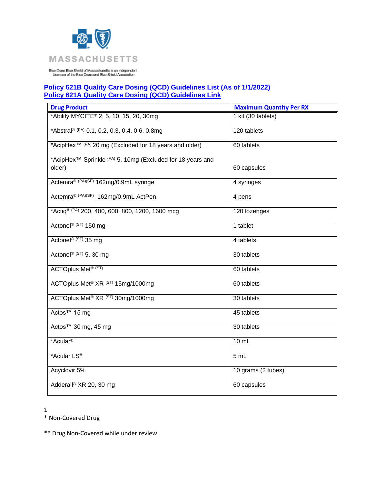

## **Policy 621B Quality Care Dosing (QCD) Guidelines List (As of 1/1/2022) [Policy 621A Quality Care Dosing \(QCD\) Guidelines Link](https://www.bluecrossma.org/medical-policies/sites/g/files/csphws2091/files/acquiadam-assets/621A%20Quality%20Care%20Dosing%20Guidelines%20prn.pdf)**

| <b>Drug Product</b>                                                                         | <b>Maximum Quantity Per RX</b> |
|---------------------------------------------------------------------------------------------|--------------------------------|
| *Abilify MYCITE <sup>®</sup> 2, 5, 10, 15, 20, 30mg                                         | 1 kit (30 tablets)             |
| *Abstral® (PA) 0.1, 0.2, 0.3, 0.4. 0.6, 0.8mg                                               | 120 tablets                    |
| *AcipHex <sup>™ (PA)</sup> 20 mg (Excluded for 18 years and older)                          | 60 tablets                     |
| *AcipHex <sup>™</sup> Sprinkle <sup>(PA)</sup> 5, 10mg (Excluded for 18 years and<br>older) | 60 capsules                    |
| Actemra <sup>® (PA)(SP)</sup> 162mg/0.9mL syringe                                           | 4 syringes                     |
| Actemra <sup>® (PA)(SP)</sup> 162mg/0.9mL ActPen                                            | 4 pens                         |
| *Actig® (PA) 200, 400, 600, 800, 1200, 1600 mcg                                             | 120 lozenges                   |
| Actonel® (ST) 150 mg                                                                        | 1 tablet                       |
| Actonel <sup>® (ST)</sup> 35 mg                                                             | 4 tablets                      |
| Actonel® (ST) 5, 30 mg                                                                      | 30 tablets                     |
| <b>ACTOplus Met<sup>® (ST)</sup></b>                                                        | 60 tablets                     |
| ACTOplus Met <sup>®</sup> XR <sup>(ST)</sup> 15mg/1000mg                                    | 60 tablets                     |
| ACTOplus Met <sup>®</sup> XR <sup>(ST)</sup> 30mg/1000mg                                    | 30 tablets                     |
| Actos™ 15 mg                                                                                | 45 tablets                     |
| Actos™ 30 mg, 45 mg                                                                         | 30 tablets                     |
| *Acular <sup>®</sup>                                                                        | 10 mL                          |
| *Acular LS <sup>®</sup>                                                                     | 5 mL                           |
| Acyclovir 5%                                                                                | 10 grams (2 tubes)             |
| Adderall <sup>®</sup> XR 20, 30 mg                                                          | 60 capsules                    |

1

\* Non-Covered Drug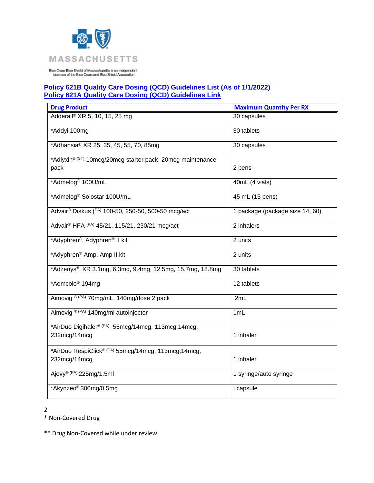

## **Policy 621B Quality Care Dosing (QCD) Guidelines List (As of 1/1/2022) [Policy 621A Quality Care Dosing \(QCD\) Guidelines Link](https://www.bluecrossma.org/medical-policies/sites/g/files/csphws2091/files/acquiadam-assets/621A%20Quality%20Care%20Dosing%20Guidelines%20prn.pdf)**

| <b>Drug Product</b>                                                  | <b>Maximum Quantity Per RX</b>  |
|----------------------------------------------------------------------|---------------------------------|
| Adderall <sup>®</sup> XR 5, 10, 15, 25 mg                            | 30 capsules                     |
| *Addyi 100mg                                                         | 30 tablets                      |
| *Adhansia® XR 25, 35, 45, 55, 70, 85mg                               | 30 capsules                     |
| *Adlyxin® (ST) 10mcg/20mcg starter pack, 20mcg maintenance           |                                 |
| pack                                                                 | 2 pens                          |
| *Admelog <sup>®</sup> 100U/mL                                        | 40mL (4 vials)                  |
| *Admelog <sup>®</sup> Solostar 100U/mL                               | 45 mL (15 pens)                 |
| Advair® Diskus (PA) 100-50, 250-50, 500-50 mcg/act                   | 1 package (package size 14, 60) |
| Advair® HFA (PA) 45/21, 115/21, 230/21 mcg/act                       | 2 inhalers                      |
| *Adyphren®, Adyphren® II kit                                         | 2 units                         |
| *Adyphren® Amp, Amp II kit                                           | 2 units                         |
| *Adzenys® XR 3.1mg, 6.3mg, 9.4mg, 12.5mg, 15.7mg, 18.8mg             | 30 tablets                      |
| *Aemcolo <sup>®</sup> 194mg                                          | 12 tablets                      |
| Aimovig <sup>® (PA)</sup> 70mg/mL, 140mg/dose 2 pack                 | 2mL                             |
| Aimovig ® (PA) 140mg/ml autoinjector                                 | 1mL                             |
| *AirDuo Digihaler® (PA) 55mcg/14mcg, 113mcg, 14mcg,<br>232mcg/14mcg  | 1 inhaler                       |
| *AirDuo RespiClick® (PA) 55mcg/14mcg, 113mcg, 14mcg,<br>232mcg/14mcg | 1 inhaler                       |
| Ajovy® (PA) 225mg/1.5ml                                              | 1 syringe/auto syringe          |
| *Akynzeo® 300mg/0.5mg                                                | I capsule                       |

2

\* Non-Covered Drug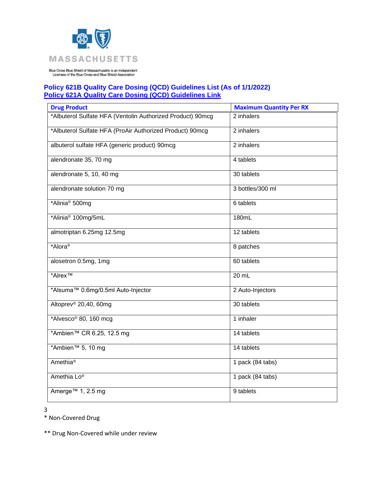

## **Policy 621B Quality Care Dosing (QCD) Guidelines List (As of 1/1/2022) [Policy 621A Quality Care Dosing \(QCD\) Guidelines Link](https://www.bluecrossma.org/medical-policies/sites/g/files/csphws2091/files/acquiadam-assets/621A%20Quality%20Care%20Dosing%20Guidelines%20prn.pdf)**

| <b>Drug Product</b>                                        | <b>Maximum Quantity Per RX</b> |
|------------------------------------------------------------|--------------------------------|
| *Albuterol Sulfate HFA (Ventolin Authorized Product) 90mcg | 2 inhalers                     |
| *Albuterol Sulfate HFA (ProAir Authorized Product) 90mcg   | 2 inhalers                     |
| albuterol sulfate HFA (generic product) 90mcg              | 2 inhalers                     |
| alendronate 35, 70 mg                                      | 4 tablets                      |
| alendronate 5, 10, 40 mg                                   | 30 tablets                     |
| alendronate solution 70 mg                                 | 3 bottles/300 ml               |
| *Alinia <sup>®</sup> 500mg                                 | 6 tablets                      |
| *Alinia <sup>®</sup> 100mg/5mL                             | 180mL                          |
| almotriptan 6.25mg 12.5mg                                  | 12 tablets                     |
| *Alora <sup>®</sup>                                        | 8 patches                      |
| alosetron 0.5mg, 1mg                                       | 60 tablets                     |
| *Alrex <sup>™</sup>                                        | 20 mL                          |
| *Alsuma™ 0.6mg/0.5ml Auto-Injector                         | 2 Auto-Injectors               |
| Altoprev <sup>®</sup> 20,40, 60mg                          | 30 tablets                     |
| *Alvesco® 80, 160 mcg                                      | 1 inhaler                      |
| *Ambien™ CR 6.25, 12.5 mg                                  | 14 tablets                     |
| *Ambien <sup>™</sup> 5, 10 mg                              | 14 tablets                     |
| Amethia <sup>®</sup>                                       | 1 pack (84 tabs)               |
| Amethia Lo®                                                | 1 pack $(84$ tabs)             |
| Amerge <sup>™</sup> 1, 2.5 mg                              | 9 tablets                      |

3

\* Non-Covered Drug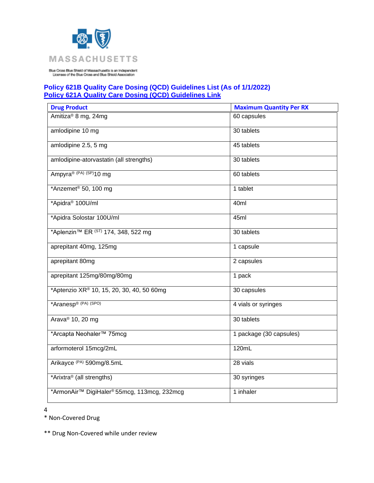

## **Policy 621B Quality Care Dosing (QCD) Guidelines List (As of 1/1/2022) [Policy 621A Quality Care Dosing \(QCD\) Guidelines Link](https://www.bluecrossma.org/medical-policies/sites/g/files/csphws2091/files/acquiadam-assets/621A%20Quality%20Care%20Dosing%20Guidelines%20prn.pdf)**

| <b>Drug Product</b>                                        | <b>Maximum Quantity Per RX</b> |
|------------------------------------------------------------|--------------------------------|
| Amitiza <sup>®</sup> 8 mg, 24mg                            | 60 capsules                    |
| amlodipine 10 mg                                           | 30 tablets                     |
| amlodipine 2.5, 5 mg                                       | 45 tablets                     |
| amlodipine-atorvastatin (all strengths)                    | 30 tablets                     |
| Ampyra® (PA) (SP)10 mg                                     | 60 tablets                     |
| *Anzemet <sup>®</sup> 50, 100 mg                           | 1 tablet                       |
| *Apidra <sup>®</sup> 100U/ml                               | 40ml                           |
| *Apidra Solostar 100U/ml                                   | 45ml                           |
| *Aplenzin <sup>™</sup> ER <sup>(ST)</sup> 174, 348, 522 mg | 30 tablets                     |
| aprepitant 40mg, 125mg                                     | 1 capsule                      |
| aprepitant 80mg                                            | 2 capsules                     |
| aprepitant 125mg/80mg/80mg                                 | 1 pack                         |
| *Aptenzio XR® 10, 15, 20, 30, 40, 50 60mg                  | 30 capsules                    |
| *Aranesp® (PA) (SPO)                                       | 4 vials or syringes            |
| Arava <sup>®</sup> 10, 20 mg                               | 30 tablets                     |
| *Arcapta Neohaler™ 75mcg                                   | 1 package (30 capsules)        |
| arformoterol 15mcg/2mL                                     | 120mL                          |
| Arikayce (PA) 590mg/8.5mL                                  | 28 vials                       |
| *Arixtra <sup>®</sup> (all strengths)                      | 30 syringes                    |
| *ArmonAir™ DigiHaler® 55mcg, 113mcg, 232mcg                | 1 inhaler                      |

4

\* Non-Covered Drug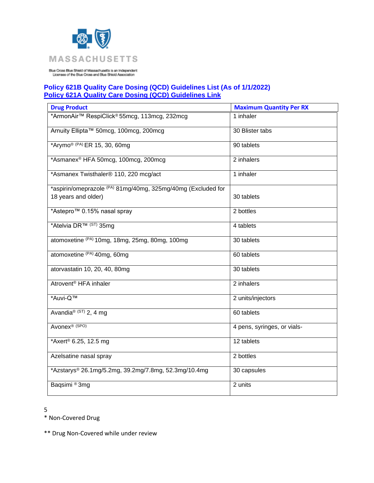

## **Policy 621B Quality Care Dosing (QCD) Guidelines List (As of 1/1/2022) [Policy 621A Quality Care Dosing \(QCD\) Guidelines Link](https://www.bluecrossma.org/medical-policies/sites/g/files/csphws2091/files/acquiadam-assets/621A%20Quality%20Care%20Dosing%20Guidelines%20prn.pdf)**

| <b>Drug Product</b>                                          | <b>Maximum Quantity Per RX</b> |
|--------------------------------------------------------------|--------------------------------|
| *ArmonAir™ RespiClick® 55mcg, 113mcg, 232mcg                 | 1 inhaler                      |
| Arnuity Ellipta™ 50mcg, 100mcg, 200mcg                       | 30 Blister tabs                |
| *Arymo® (PA) ER 15, 30, 60mg                                 | 90 tablets                     |
| *Asmanex® HFA 50mcg, 100mcg, 200mcg                          | 2 inhalers                     |
| *Asmanex Twisthaler® 110, 220 mcg/act                        | 1 inhaler                      |
| *aspirin/omeprazole (PA) 81mg/40mg, 325mg/40mg (Excluded for |                                |
| 18 years and older)                                          | 30 tablets                     |
| *Astepro™ 0.15% nasal spray                                  | 2 bottles                      |
| *Atelvia DR™ (ST) 35mg                                       | 4 tablets                      |
| atomoxetine (PA) 10mg, 18mg, 25mg, 80mg, 100mg               | 30 tablets                     |
| atomoxetine (PA) 40mg, 60mg                                  | 60 tablets                     |
| atorvastatin 10, 20, 40, 80mg                                | 30 tablets                     |
| Atrovent <sup>®</sup> HFA inhaler                            | 2 inhalers                     |
| *Auvi-Q™                                                     | 2 units/injectors              |
| Avandia® (ST) 2, 4 mg                                        | 60 tablets                     |
| Avonex <sup>® (SPO)</sup>                                    | 4 pens, syringes, or vials-    |
| *Axert® 6.25, 12.5 mg                                        | 12 tablets                     |
| Azelsatine nasal spray                                       | 2 bottles                      |
| *Azstarys® 26.1mg/5.2mg, 39.2mg/7.8mg, 52.3mg/10.4mg         | 30 capsules                    |
| Baqsimi <sup>®</sup> 3mg                                     | 2 units                        |

5

\* Non-Covered Drug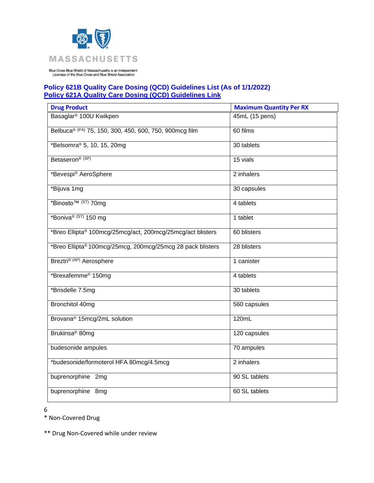

## **Policy 621B Quality Care Dosing (QCD) Guidelines List (As of 1/1/2022) [Policy 621A Quality Care Dosing \(QCD\) Guidelines Link](https://www.bluecrossma.org/medical-policies/sites/g/files/csphws2091/files/acquiadam-assets/621A%20Quality%20Care%20Dosing%20Guidelines%20prn.pdf)**

| <b>Drug Product</b>                                        | <b>Maximum Quantity Per RX</b> |
|------------------------------------------------------------|--------------------------------|
| Basaglar <sup>®</sup> 100U Kwikpen                         | 45mL (15 pens)                 |
| Belbuca® (PA) 75, 150, 300, 450, 600, 750, 900mcg film     | 60 films                       |
| *Belsomra <sup>®</sup> 5, 10, 15, 20mg                     | 30 tablets                     |
| Betaseron <sup>® (SP)</sup>                                | 15 vials                       |
| *Bevespi <sup>®</sup> AeroSphere                           | 2 inhalers                     |
| *Bijuva 1mg                                                | 30 capsules                    |
| *Binosto <sup>™ (ST)</sup> 70mg                            | 4 tablets                      |
| *Boniva® (ST) 150 mg                                       | 1 tablet                       |
| *Breo Ellipta® 100mcg/25mcg/act, 200mcg/25mcg/act blisters | 60 blisters                    |
| *Breo Ellipta® 100mcg/25mcg, 200mcg/25mcg 28 pack blisters | 28 blisters                    |
| Breztri® (AP) Aerosphere                                   | 1 canister                     |
| *Brexafemme <sup>®</sup> 150mg                             | 4 tablets                      |
| *Brisdelle 7.5mg                                           | 30 tablets                     |
| Bronchitol 40mg                                            | 560 capsules                   |
| Brovana <sup>®</sup> 15mcg/2mL solution                    | 120mL                          |
| Brukinsa <sup>®</sup> 80mg                                 | 120 capsules                   |
| budesonide ampules                                         | 70 ampules                     |
| *budesonide/formoterol HFA 80mcg/4.5mcg                    | 2 inhalers                     |
| buprenorphine 2mg                                          | 90 SL tablets                  |
| buprenorphine 8mg                                          | 60 SL tablets                  |

6

\* Non-Covered Drug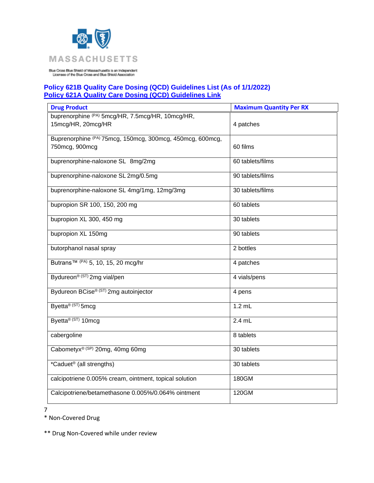

## **Policy 621B Quality Care Dosing (QCD) Guidelines List (As of 1/1/2022) [Policy 621A Quality Care Dosing \(QCD\) Guidelines Link](https://www.bluecrossma.org/medical-policies/sites/g/files/csphws2091/files/acquiadam-assets/621A%20Quality%20Care%20Dosing%20Guidelines%20prn.pdf)**

| <b>Drug Product</b>                                                    | <b>Maximum Quantity Per RX</b> |
|------------------------------------------------------------------------|--------------------------------|
| buprenorphine (PA) 5mcg/HR, 7.5mcg/HR, 10mcg/HR,<br>15mcg/HR, 20mcg/HR | 4 patches                      |
| Buprenorphine (PA) 75mcg, 150mcg, 300mcg, 450mcg, 600mcg,              |                                |
| 750mcg, 900mcg                                                         | 60 films                       |
| buprenorphine-naloxone SL 8mg/2mg                                      | 60 tablets/films               |
| buprenorphine-naloxone SL 2mg/0.5mg                                    | 90 tablets/films               |
| buprenorphine-naloxone SL 4mg/1mg, 12mg/3mg                            | 30 tablets/films               |
| bupropion SR 100, 150, 200 mg                                          | 60 tablets                     |
| bupropion XL 300, 450 mg                                               | 30 tablets                     |
| bupropion XL 150mg                                                     | 90 tablets                     |
| butorphanol nasal spray                                                | 2 bottles                      |
| Butrans <sup>™ (PA)</sup> 5, 10, 15, 20 mcg/hr                         | 4 patches                      |
| Bydureon <sup>® (ST)</sup> 2mg vial/pen                                | 4 vials/pens                   |
| Bydureon BCise® (ST) 2mg autoinjector                                  | 4 pens                         |
| Byetta <sup>® (ST)</sup> 5mcg                                          | $1.2$ mL                       |
| Byetta <sup>® (ST)</sup> 10mcg                                         | $2.4$ mL                       |
| cabergoline                                                            | 8 tablets                      |
| Cabometyx® (SP) 20mg, 40mg 60mg                                        | 30 tablets                     |
| *Caduet <sup>®</sup> (all strengths)                                   | 30 tablets                     |
| calcipotriene 0.005% cream, ointment, topical solution                 | 180GM                          |
| Calcipotriene/betamethasone 0.005%/0.064% ointment                     | 120GM                          |

7

\* Non-Covered Drug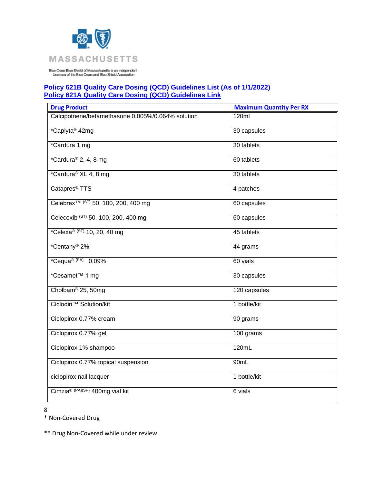

## **Policy 621B Quality Care Dosing (QCD) Guidelines List (As of 1/1/2022) [Policy 621A Quality Care Dosing \(QCD\) Guidelines Link](https://www.bluecrossma.org/medical-policies/sites/g/files/csphws2091/files/acquiadam-assets/621A%20Quality%20Care%20Dosing%20Guidelines%20prn.pdf)**

| <b>Drug Product</b>                                | <b>Maximum Quantity Per RX</b> |
|----------------------------------------------------|--------------------------------|
| Calcipotriene/betamethasone 0.005%/0.064% solution | 120ml                          |
| *Caplyta <sup>®</sup> 42mg                         | 30 capsules                    |
| *Cardura 1 mg                                      | 30 tablets                     |
| *Cardura® 2, 4, 8 mg                               | 60 tablets                     |
| *Cardura® XL 4, 8 mg                               | 30 tablets                     |
| Catapres <sup>®</sup> TTS                          | 4 patches                      |
| Celebrex <sup>™ (ST)</sup> 50, 100, 200, 400 mg    | 60 capsules                    |
| Celecoxib (ST) 50, 100, 200, 400 mg                | 60 capsules                    |
| *Celexa <sup>® (ST)</sup> 10, 20, 40 mg            | 45 tablets                     |
| *Centany <sup>®</sup> 2%                           | 44 grams                       |
| *Cequa® (PA) 0.09%                                 | 60 vials                       |
| *Cesamet™ 1 mg                                     | 30 capsules                    |
| Cholbam <sup>®</sup> 25, 50mg                      | 120 capsules                   |
| Ciclodin <sup>™</sup> Solution/kit                 | 1 bottle/kit                   |
| Ciclopirox 0.77% cream                             | 90 grams                       |
| Ciclopirox 0.77% gel                               | 100 grams                      |
| Ciclopirox 1% shampoo                              | 120mL                          |
| Ciclopirox 0.77% topical suspension                | 90mL                           |
| ciclopirox nail lacquer                            | 1 bottle/kit                   |
| Cimzia® (PA)(SP) 400mg vial kit                    | 6 vials                        |

8

\* Non-Covered Drug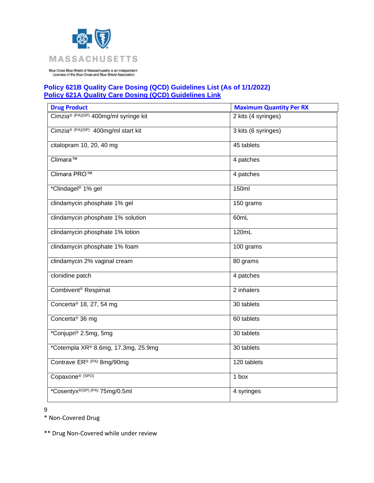

## **Policy 621B Quality Care Dosing (QCD) Guidelines List (As of 1/1/2022) [Policy 621A Quality Care Dosing \(QCD\) Guidelines Link](https://www.bluecrossma.org/medical-policies/sites/g/files/csphws2091/files/acquiadam-assets/621A%20Quality%20Care%20Dosing%20Guidelines%20prn.pdf)**

| <b>Drug Product</b>                   | <b>Maximum Quantity Per RX</b> |
|---------------------------------------|--------------------------------|
| Cimzia® (PA)(SP) 400mg/ml syringe kit | 2 kits (4 syringes)            |
| Cimzia® (PA)(SP) 400mg/ml start kit   | 3 kits (6 syringes)            |
| citalopram 10, 20, 40 mg              | 45 tablets                     |
| Climara™                              | 4 patches                      |
| Climara PRO™                          | 4 patches                      |
| *Clindagel <sup>®</sup> 1% gel        | 150ml                          |
| clindamycin phosphate 1% gel          | 150 grams                      |
| clindamycin phosphate 1% solution     | 60mL                           |
| clindamycin phosphate 1% lotion       | 120mL                          |
| clindamycin phosphate 1% foam         | 100 grams                      |
| clindamycin 2% vaginal cream          | 80 grams                       |
| clonidine patch                       | 4 patches                      |
| Combivent <sup>®</sup> Respimat       | 2 inhalers                     |
| Concerta® 18, 27, 54 mg               | 30 tablets                     |
| Concerta <sup>®</sup> 36 mg           | 60 tablets                     |
| *Conjupri® 2.5mg, 5mg                 | 30 tablets                     |
| *Cotempla XR® 8.6mg, 17.3mg, 25.9mg   | 30 tablets                     |
| Contrave ER® (PA) 8mg/90mg            | 120 tablets                    |
| Copaxone® (SPO)                       | 1 box                          |
| *Cosentyx®(SP) (PA) 75mg/0.5ml        | 4 syringes                     |

9

\* Non-Covered Drug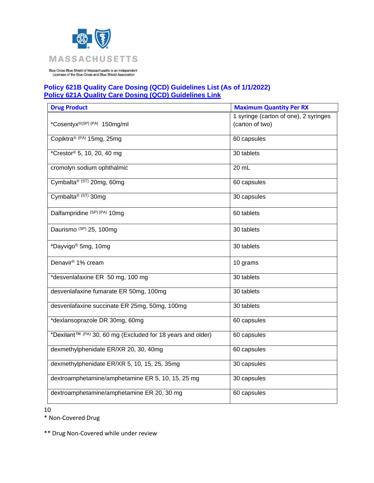

## **Policy 621B Quality Care Dosing (QCD) Guidelines List (As of 1/1/2022) [Policy 621A Quality Care Dosing \(QCD\) Guidelines Link](https://www.bluecrossma.org/medical-policies/sites/g/files/csphws2091/files/acquiadam-assets/621A%20Quality%20Care%20Dosing%20Guidelines%20prn.pdf)**

| <b>Drug Product</b>                                                     | <b>Maximum Quantity Per RX</b>                           |
|-------------------------------------------------------------------------|----------------------------------------------------------|
| *Cosentyx <sup>®(SP) (PA)</sup> 150mg/ml                                | 1 syringe (carton of one), 2 syringes<br>(carton of two) |
| Copiktra® (PA) 15mg, 25mg                                               | 60 capsules                                              |
| *Crestor <sup>®</sup> 5, 10, 20, 40 mg                                  | 30 tablets                                               |
| cromolyn sodium ophthalmic                                              | 20 mL                                                    |
| Cymbalta® (ST) 20mg, 60mg                                               | 60 capsules                                              |
| Cymbalta <sup>® (ST)</sup> 30mg                                         | 30 capsules                                              |
| Dalfampridine (SP) (PA) 10mg                                            | 60 tablets                                               |
| Daurismo (SP) 25, 100mg                                                 | 30 tablets                                               |
| *Dayvigo <sup>®</sup> 5mg, 10mg                                         | 30 tablets                                               |
| Denavir <sup>®</sup> 1% cream                                           | 10 grams                                                 |
| *desvenlafaxine ER 50 mg, 100 mg                                        | 30 tablets                                               |
| desvenlafaxine fumarate ER 50mg, 100mg                                  | 30 tablets                                               |
| desvenlafaxine succinate ER 25mg, 50mg, 100mg                           | 30 tablets                                               |
| *dexlansoprazole DR 30mg, 60mg                                          | 60 capsules                                              |
| *Dexilant <sup>™ (PA)</sup> 30, 60 mg (Excluded for 18 years and older) | 60 capsules                                              |
| dexmethylphenidate ER/XR 20, 30, 40mg                                   | 60 capsules                                              |
| dexmethylphenidate ER/XR 5, 10, 15, 25, 35mg                            | 30 capsules                                              |
| dextroamphetamine/amphetamine ER 5, 10, 15, 25 mg                       | 30 capsules                                              |
| dextroamphetamine/amphetamine ER 20, 30 mg                              | 60 capsules                                              |

10

\* Non-Covered Drug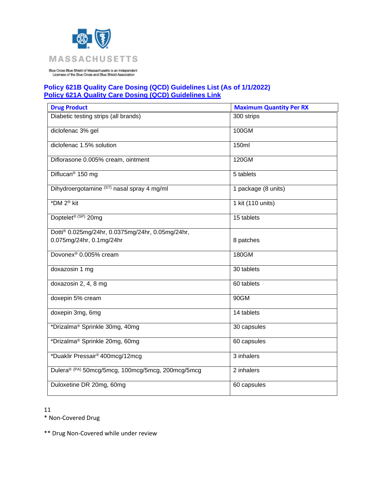

# **Policy 621B Quality Care Dosing (QCD) Guidelines List (As of 1/1/2022) [Policy 621A Quality Care Dosing \(QCD\) Guidelines Link](https://www.bluecrossma.org/medical-policies/sites/g/files/csphws2091/files/acquiadam-assets/621A%20Quality%20Care%20Dosing%20Guidelines%20prn.pdf)**

| <b>Drug Product</b>                               | <b>Maximum Quantity Per RX</b> |
|---------------------------------------------------|--------------------------------|
| Diabetic testing strips (all brands)              | 300 strips                     |
| diclofenac 3% gel                                 | 100GM                          |
| diclofenac 1.5% solution                          | 150ml                          |
| Diflorasone 0.005% cream, ointment                | 120GM                          |
| Diflucan <sup>®</sup> 150 mg                      | 5 tablets                      |
| Dihydroergotamine (ST) nasal spray 4 mg/ml        | 1 package (8 units)            |
| *DM 2 <sup>®</sup> kit                            | 1 kit (110 units)              |
| Doptelet <sup>® (SP)</sup> 20mg                   | 15 tablets                     |
| Dotti® 0.025mg/24hr, 0.0375mg/24hr, 0.05mg/24hr,  |                                |
| 0.075mg/24hr, 0.1mg/24hr                          | 8 patches                      |
| Dovonex <sup>®</sup> 0.005% cream                 | 180GM                          |
| doxazosin 1 mg                                    | 30 tablets                     |
| doxazosin 2, 4, 8 mg                              | 60 tablets                     |
| doxepin 5% cream                                  | 90GM                           |
| doxepin 3mg, 6mg                                  | 14 tablets                     |
| *Drizalma® Sprinkle 30mg, 40mg                    | 30 capsules                    |
| *Drizalma® Sprinkle 20mg, 60mg                    | 60 capsules                    |
| *Duaklir Pressair® 400mcg/12mcg                   | 3 inhalers                     |
| Dulera® (PA) 50mcg/5mcg, 100mcg/5mcg, 200mcg/5mcg | 2 inhalers                     |
| Duloxetine DR 20mg, 60mg                          | 60 capsules                    |

11

\* Non-Covered Drug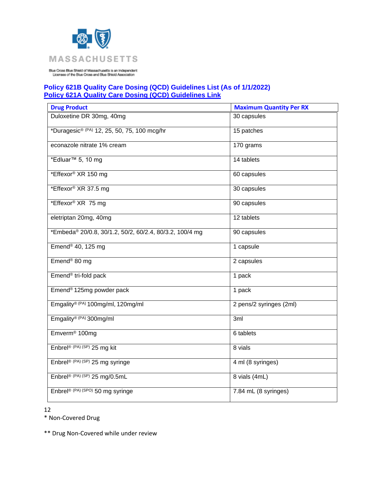

## **Policy 621B Quality Care Dosing (QCD) Guidelines List (As of 1/1/2022) [Policy 621A Quality Care Dosing \(QCD\) Guidelines Link](https://www.bluecrossma.org/medical-policies/sites/g/files/csphws2091/files/acquiadam-assets/621A%20Quality%20Care%20Dosing%20Guidelines%20prn.pdf)**

| <b>Drug Product</b>                                     | <b>Maximum Quantity Per RX</b> |
|---------------------------------------------------------|--------------------------------|
| Duloxetine DR 30mg, 40mg                                | 30 capsules                    |
| *Duragesic® (PA) 12, 25, 50, 75, 100 mcg/hr             | 15 patches                     |
| econazole nitrate 1% cream                              | 170 grams                      |
| *Edluar <sup>™</sup> 5, 10 mg                           | 14 tablets                     |
| *Effexor® XR 150 mg                                     | 60 capsules                    |
| *Effexor® XR 37.5 mg                                    | 30 capsules                    |
| *Effexor® XR 75 mg                                      | 90 capsules                    |
| eletriptan 20mg, 40mg                                   | 12 tablets                     |
| *Embeda® 20/0.8, 30/1.2, 50/2, 60/2.4, 80/3.2, 100/4 mg | 90 capsules                    |
| Emend <sup>®</sup> 40, 125 mg                           | 1 capsule                      |
| Emend <sup>®</sup> 80 mg                                | 2 capsules                     |
| Emend <sup>®</sup> tri-fold pack                        | 1 pack                         |
| Emend <sup>®</sup> 125mg powder pack                    | 1 pack                         |
| Emgality® (PA) 100mg/ml, 120mg/ml                       | 2 pens/2 syringes (2ml)        |
| Emgality® (PA) 300mg/ml                                 | 3ml                            |
| Emverm <sup>®</sup> 100mg                               | 6 tablets                      |
| Enbrel® (PA) (SP) 25 mg kit                             | 8 vials                        |
| Enbrel® (PA) (SP) 25 mg syringe                         | 4 ml (8 syringes)              |
| Enbrel® $(PA)$ (SP) 25 mg/0.5mL                         | 8 vials (4mL)                  |
| Enbrel® (PA) (SPO) 50 mg syringe                        | 7.84 mL (8 syringes)           |

12

\* Non-Covered Drug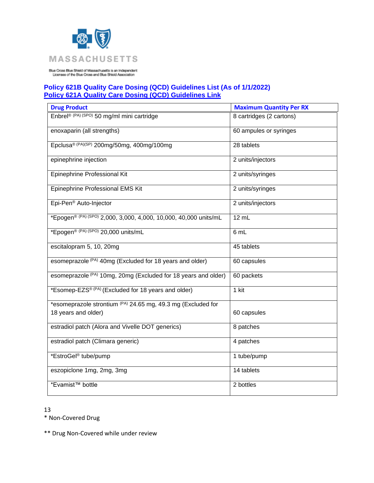

# **Policy 621B Quality Care Dosing (QCD) Guidelines List (As of 1/1/2022) [Policy 621A Quality Care Dosing \(QCD\) Guidelines Link](https://www.bluecrossma.org/medical-policies/sites/g/files/csphws2091/files/acquiadam-assets/621A%20Quality%20Care%20Dosing%20Guidelines%20prn.pdf)**

| <b>Drug Product</b>                                              | <b>Maximum Quantity Per RX</b> |
|------------------------------------------------------------------|--------------------------------|
| Enbrel® (PA) (SPO) 50 mg/ml mini cartridge                       | 8 cartridges (2 cartons)       |
| enoxaparin (all strengths)                                       | 60 ampules or syringes         |
| Epclusa® (PA)(SP) 200mg/50mg, 400mg/100mg                        | 28 tablets                     |
| epinephrine injection                                            | 2 units/injectors              |
| Epinephrine Professional Kit                                     | 2 units/syringes               |
| Epinephrine Professional EMS Kit                                 | 2 units/syringes               |
| Epi-Pen <sup>®</sup> Auto-Injector                               | 2 units/injectors              |
| *Epogen® (PA) (SPO) 2,000, 3,000, 4,000, 10,000, 40,000 units/mL | 12 mL                          |
| *Epogen <sup>® (PA) (SPO)</sup> 20,000 units/mL                  | 6 mL                           |
| escitalopram 5, 10, 20mg                                         | 45 tablets                     |
| esomeprazole (PA) 40mg (Excluded for 18 years and older)         | 60 capsules                    |
| esomeprazole (PA) 10mg, 20mg (Excluded for 18 years and older)   | 60 packets                     |
| *Esomep-EZS® (PA) (Excluded for 18 years and older)              | 1 kit                          |
| *esomeprazole strontium (PA) 24.65 mg, 49.3 mg (Excluded for     |                                |
| 18 years and older)                                              | 60 capsules                    |
| estradiol patch (Alora and Vivelle DOT generics)                 | 8 patches                      |
| estradiol patch (Climara generic)                                | $\overline{4}$ patches         |
| *EstroGel <sup>®</sup> tube/pump                                 | 1 tube/pump                    |
| eszopiclone 1mg, 2mg, 3mg                                        | 14 tablets                     |
| *Evamist <sup>™</sup> bottle                                     | 2 bottles                      |

13

\* Non-Covered Drug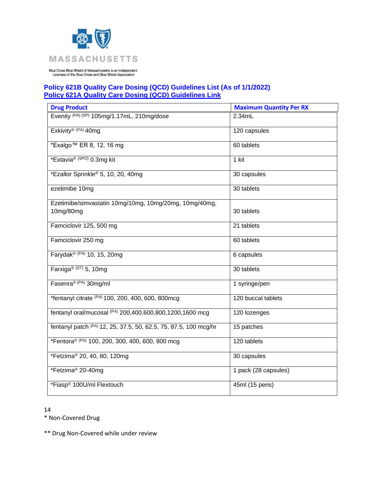

## **Policy 621B Quality Care Dosing (QCD) Guidelines List (As of 1/1/2022) [Policy 621A Quality Care Dosing \(QCD\) Guidelines Link](https://www.bluecrossma.org/medical-policies/sites/g/files/csphws2091/files/acquiadam-assets/621A%20Quality%20Care%20Dosing%20Guidelines%20prn.pdf)**

| <b>Drug Product</b>                                              | <b>Maximum Quantity Per RX</b> |
|------------------------------------------------------------------|--------------------------------|
| Evenity (PA) (SP) 105mg/1.17mL, 210mg/dose                       | 2.34mL                         |
| Exkivity <sup>® (PA)</sup> 40mg                                  | 120 capsules                   |
| *Exalgo™ ER 8, 12, 16 mg                                         | 60 tablets                     |
| *Extavia <sup>® (SPO)</sup> 0.3mg kit                            | 1 kit                          |
| *Ezallor Sprinkle <sup>®</sup> 5, 10, 20, 40mg                   | 30 capsules                    |
| ezetimibe 10mg                                                   | 30 tablets                     |
| Ezetimibe/simvastatin 10mg/10mg, 10mg/20mg, 10mg/40mg,           |                                |
| 10mg/80mg                                                        | 30 tablets                     |
| Famciclovir 125, 500 mg                                          | 21 tablets                     |
| Famciclovir 250 mg                                               | 60 tablets                     |
| Farydak® (PA) 10, 15, 20mg                                       | 6 capsules                     |
| Farxiga® (ST) 5, 10mg                                            | 30 tablets                     |
| Fasenra® (PA) 30mg/ml                                            | 1 syringe/pen                  |
| *fentanyl citrate (PA) 100, 200, 400, 600, 800mcg                | 120 buccal tablets             |
| fentanyl oral/mucosal (PA) 200,400,600,800,1200,1600 mcg         | 120 lozenges                   |
| fentanyl patch (PA) 12, 25, 37.5, 50, 62.5, 75, 87.5, 100 mcg/hr | 15 patches                     |
| *Fentora® (PA) 100, 200, 300, 400, 600, 800 mcg                  | 120 tablets                    |
| *Fetzima <sup>®</sup> 20, 40, 80, 120mg                          | 30 capsules                    |
| *Fetzima <sup>®</sup> 20-40mg                                    | 1 pack (28 capsules)           |
| *Fiasp® 100U/ml Flextouch                                        | 45ml (15 pens)                 |

14

\* Non-Covered Drug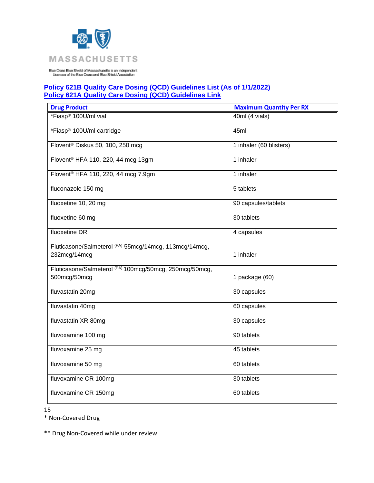

## **Policy 621B Quality Care Dosing (QCD) Guidelines List (As of 1/1/2022) [Policy 621A Quality Care Dosing \(QCD\) Guidelines Link](https://www.bluecrossma.org/medical-policies/sites/g/files/csphws2091/files/acquiadam-assets/621A%20Quality%20Care%20Dosing%20Guidelines%20prn.pdf)**

| <b>Drug Product</b>                                     | <b>Maximum Quantity Per RX</b> |
|---------------------------------------------------------|--------------------------------|
| *Fiasp® 100U/ml vial                                    | 40ml (4 vials)                 |
| *Fiasp® 100U/ml cartridge                               | 45ml                           |
| Flovent <sup>®</sup> Diskus 50, 100, 250 mcg            | 1 inhaler (60 blisters)        |
| Flovent <sup>®</sup> HFA 110, 220, 44 mcg 13gm          | 1 inhaler                      |
| Flovent <sup>®</sup> HFA 110, 220, 44 mcg 7.9gm         | 1 inhaler                      |
| fluconazole 150 mg                                      | 5 tablets                      |
| fluoxetine 10, 20 mg                                    | 90 capsules/tablets            |
| fluoxetine 60 mg                                        | 30 tablets                     |
| fluoxetine DR                                           | $\overline{4}$ capsules        |
| Fluticasone/Salmeterol (PA) 55mcg/14mcg, 113mcg/14mcg,  |                                |
| 232mcg/14mcg                                            | 1 inhaler                      |
| Fluticasone/Salmeterol (PA) 100mcg/50mcg, 250mcg/50mcg, |                                |
| 500mcg/50mcg                                            | 1 package (60)                 |
| fluvastatin 20mg                                        | 30 capsules                    |
| fluvastatin 40mg                                        | 60 capsules                    |
| fluvastatin XR 80mg                                     | 30 capsules                    |
| fluvoxamine 100 mg                                      | 90 tablets                     |
| fluvoxamine 25 mg                                       | 45 tablets                     |
| fluvoxamine 50 mg                                       | 60 tablets                     |
| fluvoxamine CR 100mg                                    | 30 tablets                     |
| fluvoxamine CR 150mg                                    | 60 tablets                     |

15

\* Non-Covered Drug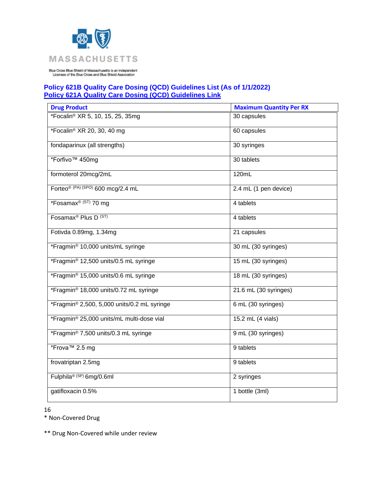

# **Policy 621B Quality Care Dosing (QCD) Guidelines List (As of 1/1/2022) [Policy 621A Quality Care Dosing \(QCD\) Guidelines Link](https://www.bluecrossma.org/medical-policies/sites/g/files/csphws2091/files/acquiadam-assets/621A%20Quality%20Care%20Dosing%20Guidelines%20prn.pdf)**

| <b>Drug Product</b>                                | <b>Maximum Quantity Per RX</b> |
|----------------------------------------------------|--------------------------------|
| *Focalin® XR 5, 10, 15, 25, 35mg                   | 30 capsules                    |
| *Focalin® XR 20, 30, 40 mg                         | 60 capsules                    |
| fondaparinux (all strengths)                       | 30 syringes                    |
| *Forfivo <sup>™</sup> 450mq                        | 30 tablets                     |
| formoterol 20mcg/2mL                               | 120mL                          |
| Forteo <sup>® (PA) (SPO)</sup> 600 mcg/2.4 mL      | 2.4 mL (1 pen device)          |
| *Fosamax <sup>® (ST)</sup> 70 mg                   | 4 tablets                      |
| Fosamax <sup>®</sup> Plus D <sup>(ST)</sup>        | 4 tablets                      |
| Fotivda 0.89mg, 1.34mg                             | 21 capsules                    |
| *Fragmin® 10,000 units/mL syringe                  | 30 mL (30 syringes)            |
| *Fragmin® 12,500 units/0.5 mL syringe              | 15 mL (30 syringes)            |
| *Fragmin® 15,000 units/0.6 mL syringe              | 18 mL (30 syringes)            |
| *Fragmin <sup>®</sup> 18,000 units/0.72 mL syringe | 21.6 mL (30 syringes)          |
| *Fragmin® 2,500, 5,000 units/0.2 mL syringe        | 6 mL (30 syringes)             |
| *Fragmin® 25,000 units/mL multi-dose vial          | 15.2 mL (4 vials)              |
| *Fragmin® 7,500 units/0.3 mL syringe               | 9 mL (30 syringes)             |
| *Frova <sup>™</sup> 2.5 mg                         | 9 tablets                      |
| frovatriptan 2.5mg                                 | 9 tablets                      |
| Fulphila® (SP) 6mg/0.6ml                           | 2 syringes                     |
| gatifloxacin 0.5%                                  | $\overline{1}$ bottle (3ml)    |

16

\* Non-Covered Drug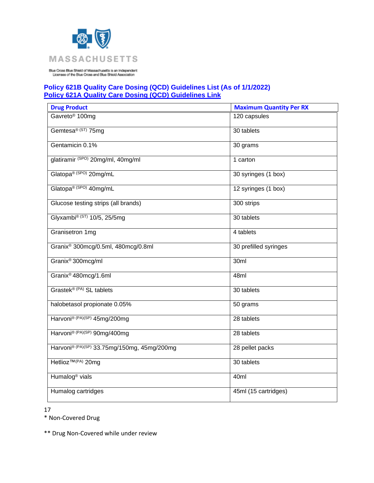

## **Policy 621B Quality Care Dosing (QCD) Guidelines List (As of 1/1/2022) [Policy 621A Quality Care Dosing \(QCD\) Guidelines Link](https://www.bluecrossma.org/medical-policies/sites/g/files/csphws2091/files/acquiadam-assets/621A%20Quality%20Care%20Dosing%20Guidelines%20prn.pdf)**

| <b>Drug Product</b>                            | <b>Maximum Quantity Per RX</b> |
|------------------------------------------------|--------------------------------|
| Gavreto <sup>®</sup> 100mg                     | 120 capsules                   |
| Gemtesa® (ST) 75mg                             | 30 tablets                     |
| Gentamicin 0.1%                                | 30 grams                       |
| glatiramir (SPO) 20mg/ml, 40mg/ml              | 1 carton                       |
| Glatopa® (SPO) 20mg/mL                         | 30 syringes (1 box)            |
| Glatopa® (SPO) 40mg/mL                         | 12 syringes (1 box)            |
| Glucose testing strips (all brands)            | 300 strips                     |
| Glyxambi® (ST) 10/5, 25/5mg                    | 30 tablets                     |
| Granisetron 1mg                                | 4 tablets                      |
| Granix <sup>®</sup> 300mcg/0.5ml, 480mcg/0.8ml | 30 prefilled syringes          |
| Granix <sup>®</sup> 300mcg/ml                  | 30ml                           |
| Granix <sup>®</sup> 480mcg/1.6ml               | 48ml                           |
| Grastek® (PA) SL tablets                       | 30 tablets                     |
| halobetasol propionate 0.05%                   | 50 grams                       |
| Harvoni® (PA)(SP) 45mg/200mg                   | 28 tablets                     |
| Harvoni® (PA)(SP) 90mg/400mg                   | 28 tablets                     |
| Harvoni® (PA)(SP) 33.75mg/150mg, 45mg/200mg    | 28 pellet packs                |
| Hetlioz <sup>™(PA)</sup> 20mg                  | 30 tablets                     |
| Humalog <sup>®</sup> vials                     | 40ml                           |
| Humalog cartridges                             | 45ml (15 cartridges)           |

17

\* Non-Covered Drug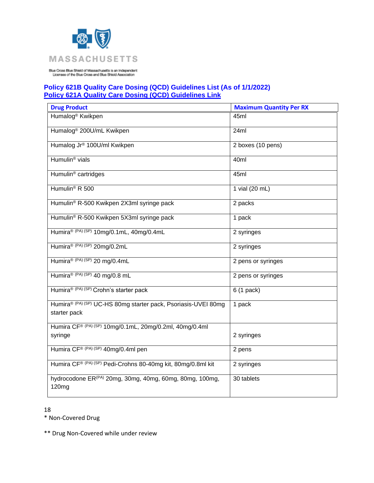

## **Policy 621B Quality Care Dosing (QCD) Guidelines List (As of 1/1/2022) [Policy 621A Quality Care Dosing \(QCD\) Guidelines Link](https://www.bluecrossma.org/medical-policies/sites/g/files/csphws2091/files/acquiadam-assets/621A%20Quality%20Care%20Dosing%20Guidelines%20prn.pdf)**

| <b>Drug Product</b>                                                                      | <b>Maximum Quantity Per RX</b> |
|------------------------------------------------------------------------------------------|--------------------------------|
| Humalog <sup>®</sup> Kwikpen                                                             | 45ml                           |
| Humalog <sup>®</sup> 200U/mL Kwikpen                                                     | 24ml                           |
| Humalog Jr <sup>®</sup> 100U/ml Kwikpen                                                  | 2 boxes (10 pens)              |
| Humulin <sup>®</sup> vials                                                               | 40ml                           |
| Humulin <sup>®</sup> cartridges                                                          | 45ml                           |
| Humulin <sup>®</sup> R 500                                                               | 1 vial (20 mL)                 |
| Humulin® R-500 Kwikpen 2X3ml syringe pack                                                | 2 packs                        |
| Humulin® R-500 Kwikpen 5X3ml syringe pack                                                | 1 pack                         |
| Humira® (PA) (SP) 10mg/0.1mL, 40mg/0.4mL                                                 | 2 syringes                     |
| Humira® (PA) (SP) 20mg/0.2mL                                                             | 2 syringes                     |
| Humira® (PA) (SP) 20 mg/0.4mL                                                            | 2 pens or syringes             |
| Humira® (PA) (SP) 40 mg/0.8 mL                                                           | 2 pens or syringes             |
| Humira® (PA) (SP) Crohn's starter pack                                                   | $6(1$ pack)                    |
| Humira® (PA) (SP) UC-HS 80mg starter pack, Psoriasis-UVEI 80mg<br>starter pack           | 1 pack                         |
| Humira CF® (PA) (SP) 10mg/0.1mL, 20mg/0.2ml, 40mg/0.4ml                                  |                                |
| syringe                                                                                  | 2 syringes                     |
| Humira CF® (PA) (SP) 40mg/0.4ml pen                                                      | 2 pens                         |
| Humira CF® (PA) (SP) Pedi-Crohns 80-40mg kit, 80mg/0.8ml kit                             | 2 syringes                     |
| hydrocodone ER <sup>(PA)</sup> 20mg, 30mg, 40mg, 60mg, 80mg, 100mg,<br>120 <sub>mg</sub> | 30 tablets                     |

18

\* Non-Covered Drug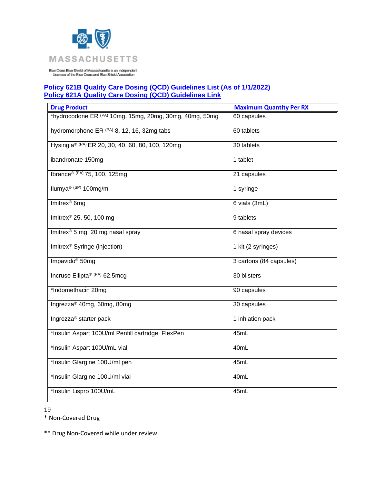

## **Policy 621B Quality Care Dosing (QCD) Guidelines List (As of 1/1/2022) [Policy 621A Quality Care Dosing \(QCD\) Guidelines Link](https://www.bluecrossma.org/medical-policies/sites/g/files/csphws2091/files/acquiadam-assets/621A%20Quality%20Care%20Dosing%20Guidelines%20prn.pdf)**

| <b>Drug Product</b>                                          | <b>Maximum Quantity Per RX</b> |
|--------------------------------------------------------------|--------------------------------|
| *hydrocodone ER (PA) 10mg, 15mg, 20mg, 30mg, 40mg, 50mg      | 60 capsules                    |
| hydromorphone ER <sup>(PA)</sup> 8, 12, 16, 32mg tabs        | 60 tablets                     |
| Hysingla <sup>® (PA)</sup> ER 20, 30, 40, 60, 80, 100, 120mg | 30 tablets                     |
| ibandronate 150mg                                            | 1 tablet                       |
| Ibrance® (PA) 75, 100, 125mg                                 | 21 capsules                    |
| Ilumya <sup>® (SP)</sup> 100mg/ml                            | 1 syringe                      |
| Imitrex <sup>®</sup> 6mg                                     | 6 vials (3mL)                  |
| Imitrex <sup>®</sup> 25, 50, 100 mg                          | 9 tablets                      |
| Imitrex <sup>®</sup> 5 mg, 20 mg nasal spray                 | 6 nasal spray devices          |
| Imitrex <sup>®</sup> Syringe (injection)                     | 1 kit (2 syringes)             |
| Impavido <sup>®</sup> 50mg                                   | 3 cartons (84 capsules)        |
| Incruse Ellipta® (PA) 62.5mcg                                | 30 blisters                    |
| *Indomethacin 20mg                                           | 90 capsules                    |
| Ingrezza® 40mg, 60mg, 80mg                                   | 30 capsules                    |
| Ingrezza <sup>®</sup> starter pack                           | 1 inhiation pack               |
| *Insulin Aspart 100U/ml Penfill cartridge, FlexPen           | 45mL                           |
| *Insulin Aspart 100U/mL vial                                 | 40mL                           |
| *Insulin Glargine 100U/ml pen                                | 45mL                           |
| *Insulin Glargine 100U/ml vial                               | 40mL                           |
| *Insulin Lispro 100U/mL                                      | 45mL                           |

19

\* Non-Covered Drug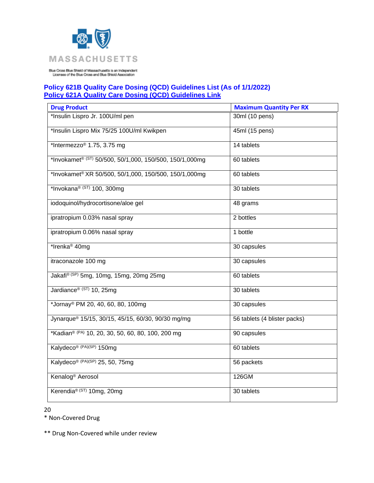

## **Policy 621B Quality Care Dosing (QCD) Guidelines List (As of 1/1/2022) [Policy 621A Quality Care Dosing \(QCD\) Guidelines Link](https://www.bluecrossma.org/medical-policies/sites/g/files/csphws2091/files/acquiadam-assets/621A%20Quality%20Care%20Dosing%20Guidelines%20prn.pdf)**

| <b>Drug Product</b>                                     | <b>Maximum Quantity Per RX</b> |
|---------------------------------------------------------|--------------------------------|
| *Insulin Lispro Jr. 100U/ml pen                         | 30ml (10 pens)                 |
| *Insulin Lispro Mix 75/25 100U/ml Kwikpen               | 45ml (15 pens)                 |
| *Intermezzo <sup>®</sup> 1.75, 3.75 mg                  | 14 tablets                     |
| *Invokamet® (ST) 50/500, 50/1,000, 150/500, 150/1,000mg | 60 tablets                     |
| *Invokamet® XR 50/500, 50/1,000, 150/500, 150/1,000mg   | 60 tablets                     |
| *Invokana® (ST) 100, 300mg                              | 30 tablets                     |
| iodoquinol/hydrocortisone/aloe gel                      | 48 grams                       |
| ipratropium 0.03% nasal spray                           | 2 bottles                      |
| ipratropium 0.06% nasal spray                           | 1 bottle                       |
| *Irenka <sup>®</sup> 40mg                               | 30 capsules                    |
| itraconazole 100 mg                                     | 30 capsules                    |
| Jakafi® (SP) 5mg, 10mg, 15mg, 20mg 25mg                 | 60 tablets                     |
| Jardiance® (ST) 10, 25mg                                | 30 tablets                     |
| *Jornay <sup>®</sup> PM 20, 40, 60, 80, 100mg           | 30 capsules                    |
| Jynarque® 15/15, 30/15, 45/15, 60/30, 90/30 mg/mg       | 56 tablets (4 blister packs)   |
| *Kadian® (PA) 10, 20, 30, 50, 60, 80, 100, 200 mg       | 90 capsules                    |
| Kalydeco® (PA)(SP) 150mg                                | 60 tablets                     |
| Kalydeco® (PA)(SP) 25, 50, 75mg                         | 56 packets                     |
| Kenalog <sup>®</sup> Aerosol                            | 126GM                          |
| Kerendia® (ST) 10mg, 20mg                               | 30 tablets                     |

20

\* Non-Covered Drug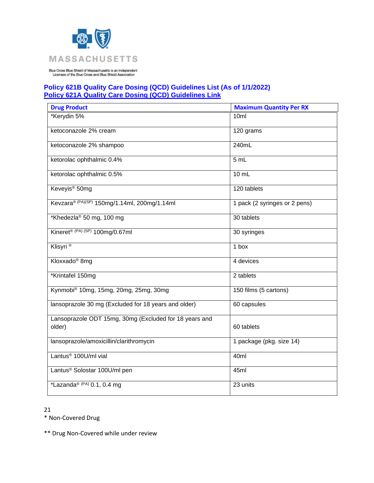

## **Policy 621B Quality Care Dosing (QCD) Guidelines List (As of 1/1/2022) [Policy 621A Quality Care Dosing \(QCD\) Guidelines Link](https://www.bluecrossma.org/medical-policies/sites/g/files/csphws2091/files/acquiadam-assets/621A%20Quality%20Care%20Dosing%20Guidelines%20prn.pdf)**

| <b>Drug Product</b>                                              | <b>Maximum Quantity Per RX</b> |
|------------------------------------------------------------------|--------------------------------|
| *Kerydin 5%                                                      | 10 <sub>ml</sub>               |
| ketoconazole 2% cream                                            | 120 grams                      |
| ketoconazole 2% shampoo                                          | 240mL                          |
| ketorolac ophthalmic 0.4%                                        | 5 mL                           |
| ketorolac ophthalmic 0.5%                                        | 10 mL                          |
| Keveyis <sup>®</sup> 50mg                                        | 120 tablets                    |
| Kevzara® (PA)(SP) 150mg/1.14ml, 200mg/1.14ml                     | 1 pack (2 syringes or 2 pens)  |
| *Khedezla® 50 mg, 100 mg                                         | 30 tablets                     |
| Kineret® (PA) (SP) 100mg/0.67ml                                  | 30 syringes                    |
| Klisyri <sup>®</sup>                                             | 1 box                          |
| Kloxxado <sup>®</sup> 8mg                                        | 4 devices                      |
| *Krintafel 150mg                                                 | 2 tablets                      |
| Kynmobi® 10mg, 15mg, 20mg, 25mg, 30mg                            | 150 films (5 cartons)          |
| lansoprazole 30 mg (Excluded for 18 years and older)             | 60 capsules                    |
| Lansoprazole ODT 15mg, 30mg (Excluded for 18 years and<br>older) | 60 tablets                     |
| lansoprazole/amoxicillin/clarithromycin                          | 1 package (pkg. size 14)       |
| Lantus <sup>®</sup> 100U/ml vial                                 | 40ml                           |
| Lantus <sup>®</sup> Solostar 100U/ml pen                         | 45ml                           |
| *Lazanda® (PA) $0.1$ , $0.4$ mg                                  | 23 units                       |

21

\* Non-Covered Drug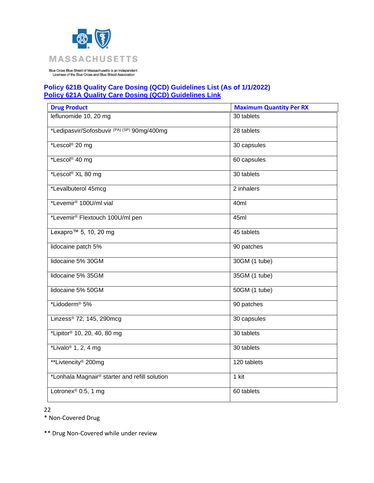

## **Policy 621B Quality Care Dosing (QCD) Guidelines List (As of 1/1/2022) [Policy 621A Quality Care Dosing \(QCD\) Guidelines Link](https://www.bluecrossma.org/medical-policies/sites/g/files/csphws2091/files/acquiadam-assets/621A%20Quality%20Care%20Dosing%20Guidelines%20prn.pdf)**

| <b>Drug Product</b>                                   | <b>Maximum Quantity Per RX</b> |
|-------------------------------------------------------|--------------------------------|
| leflunomide 10, 20 mg                                 | 30 tablets                     |
| *Ledipasvir/Sofosbuvir <sup>(PA)(SP)</sup> 90mg/400mg | 28 tablets                     |
| *Lescol® 20 mg                                        | 30 capsules                    |
| *Lescol <sup>®</sup> 40 mg                            | 60 capsules                    |
| *Lescol® XL 80 mg                                     | 30 tablets                     |
| *Levalbuterol 45mcg                                   | 2 inhalers                     |
| *Levemir <sup>®</sup> 100U/ml vial                    | 40ml                           |
| *Levemir <sup>®</sup> Flextouch 100U/ml pen           | 45ml                           |
| Lexapro <sup>™</sup> 5, 10, 20 mg                     | 45 tablets                     |
| lidocaine patch 5%                                    | 90 patches                     |
| lidocaine 5% 30GM                                     | 30GM (1 tube)                  |
| lidocaine 5% 35GM                                     | 35GM (1 tube)                  |
| lidocaine 5% 50GM                                     | 50GM (1 tube)                  |
| *Lidoderm <sup>®</sup> 5%                             | 90 patches                     |
| Linzess® 72, 145, 290mcg                              | 30 capsules                    |
| *Lipitor <sup>®</sup> 10, 20, 40, 80 mg               | 30 tablets                     |
| *Livalo <sup>®</sup> 1, 2, 4 mg                       | 30 tablets                     |
| **Livtencity <sup>®</sup> 200mg                       | 120 tablets                    |
| *Lonhala Magnair® starter and refill solution         | 1 kit                          |
| Lotronex <sup>®</sup> 0.5, 1 mg                       | 60 tablets                     |

22

\* Non-Covered Drug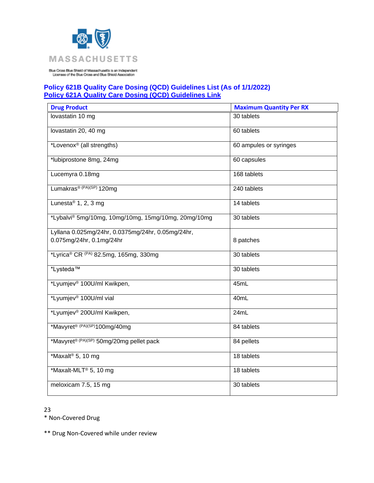

## **Policy 621B Quality Care Dosing (QCD) Guidelines List (As of 1/1/2022) [Policy 621A Quality Care Dosing \(QCD\) Guidelines Link](https://www.bluecrossma.org/medical-policies/sites/g/files/csphws2091/files/acquiadam-assets/621A%20Quality%20Care%20Dosing%20Guidelines%20prn.pdf)**

| <b>Drug Product</b>                                 | <b>Maximum Quantity Per RX</b> |
|-----------------------------------------------------|--------------------------------|
| lovastatin 10 mg                                    | 30 tablets                     |
| lovastatin 20, 40 mg                                | 60 tablets                     |
| *Lovenox <sup>®</sup> (all strengths)               | 60 ampules or syringes         |
| *lubiprostone 8mg, 24mg                             | 60 capsules                    |
| Lucemyra 0.18mg                                     | 168 tablets                    |
| Lumakras <sup>® (PA)(SP)</sup> 120mg                | 240 tablets                    |
| Lunesta <sup>®</sup> 1, 2, 3 mg                     | 14 tablets                     |
| *Lybalvi® 5mg/10mg, 10mg/10mg, 15mg/10mg, 20mg/10mg | 30 tablets                     |
| Lyllana 0.025mg/24hr, 0.0375mg/24hr, 0.05mg/24hr,   |                                |
| 0.075mg/24hr, 0.1mg/24hr                            | 8 patches                      |
| *Lyrica® CR (PA) 82.5mg, 165mg, 330mg               | 30 tablets                     |
| *Lysteda™                                           | 30 tablets                     |
| *Lyumjev <sup>®</sup> 100U/ml Kwikpen,              | 45mL                           |
| *Lyumjev <sup>®</sup> 100U/ml vial                  | 40mL                           |
| *Lyumjev® 200U/ml Kwikpen,                          | 24mL                           |
| *Mavyret <sup>® (PA)(SP)</sup> 100mg/40mg           | 84 tablets                     |
| *Mavyret® (PA)(SP) 50mg/20mg pellet pack            | 84 pellets                     |
| *Maxalt <sup>®</sup> 5, 10 mg                       | 18 tablets                     |
| *Maxalt-MLT® 5, 10 mg                               | 18 tablets                     |
| meloxicam 7.5, 15 mg                                | 30 tablets                     |

23

\* Non-Covered Drug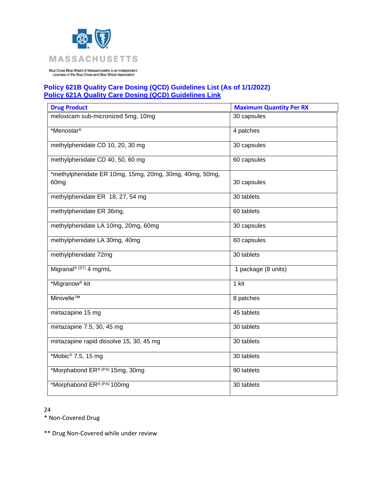

# **Policy 621B Quality Care Dosing (QCD) Guidelines List (As of 1/1/2022) [Policy 621A Quality Care Dosing \(QCD\) Guidelines Link](https://www.bluecrossma.org/medical-policies/sites/g/files/csphws2091/files/acquiadam-assets/621A%20Quality%20Care%20Dosing%20Guidelines%20prn.pdf)**

| <b>Drug Product</b>                                     | <b>Maximum Quantity Per RX</b> |
|---------------------------------------------------------|--------------------------------|
| meloxicam sub-micronized 5mg, 10mg                      | 30 capsules                    |
| *Menostar <sup>®</sup>                                  | 4 patches                      |
| methylphenidate CD 10, 20, 30 mg                        | 30 capsules                    |
| methylphenidate CD 40, 50, 60 mg                        | 60 capsules                    |
| *methylphenidate ER 10mg, 15mg, 20mg, 30mg, 40mg, 50mg, |                                |
| 60 <sub>mg</sub>                                        | 30 capsules                    |
| methylphenidate ER 18, 27, 54 mg                        | 30 tablets                     |
| methylphenidate ER 36mg,                                | 60 tablets                     |
| methylphenidate LA 10mg, 20mg, 60mg                     | 30 capsules                    |
| methylphenidate LA 30mg, 40mg                           | 60 capsules                    |
| methylphenidate 72mg                                    | 30 tablets                     |
| Migranal <sup>® (ST)</sup> 4 mg/mL                      | 1 package (8 units)            |
| *Migranow <sup>®</sup> kit                              | $1$ kit                        |
| Minivelle™                                              | 8 patches                      |
| mirtazapine 15 mg                                       | 45 tablets                     |
| mirtazapine 7.5, 30, 45 mg                              | 30 tablets                     |
| mirtazapine rapid dissolve 15, 30, 45 mg                | 30 tablets                     |
| *Mobic <sup>®</sup> 7.5, 15 mg                          | 30 tablets                     |
| *Morphabond ER® (PA) 15mg, 30mg                         | 90 tablets                     |
| *Morphabond ER® (PA) 100mg                              | 30 tablets                     |

24

\* Non-Covered Drug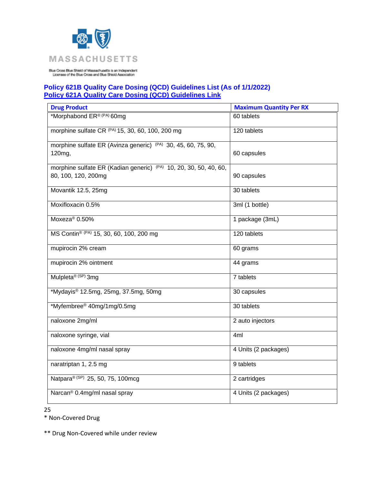

#### **Policy 621B Quality Care Dosing (QCD) Guidelines List (As of 1/1/2022) [Policy 621A Quality Care Dosing \(QCD\) Guidelines Link](https://www.bluecrossma.org/medical-policies/sites/g/files/csphws2091/files/acquiadam-assets/621A%20Quality%20Care%20Dosing%20Guidelines%20prn.pdf)**

| <b>Drug Product</b>                                                      | <b>Maximum Quantity Per RX</b> |
|--------------------------------------------------------------------------|--------------------------------|
| *Morphabond ER® (PA) 60mg                                                | 60 tablets                     |
| morphine sulfate CR (PA) 15, 30, 60, 100, 200 mg                         | 120 tablets                    |
| morphine sulfate ER (Avinza generic) <sup>(PA)</sup> 30, 45, 60, 75, 90, |                                |
| 120mg,                                                                   | 60 capsules                    |
| morphine sulfate ER (Kadian generic) (PA) 10, 20, 30, 50, 40, 60,        |                                |
| 80, 100, 120, 200mg                                                      | 90 capsules                    |
| Movantik 12.5, 25mg                                                      | 30 tablets                     |
| Moxifloxacin 0.5%                                                        | 3ml (1 bottle)                 |
| Moxeza <sup>®</sup> 0.50%                                                | 1 package (3mL)                |
| MS Contin® (PA) 15, 30, 60, 100, 200 mg                                  | 120 tablets                    |
| mupirocin 2% cream                                                       | 60 grams                       |
| mupirocin 2% ointment                                                    | 44 grams                       |
| Mulpleta® (SP) 3mg                                                       | 7 tablets                      |
| *Mydayis® 12.5mg, 25mg, 37.5mg, 50mg                                     | 30 capsules                    |
| *Myfembree® 40mg/1mg/0.5mg                                               | 30 tablets                     |
| naloxone 2mg/ml                                                          | 2 auto injectors               |
| naloxone syringe, vial                                                   | 4ml                            |
| naloxone 4mg/ml nasal spray                                              | 4 Units (2 packages)           |
| naratriptan 1, 2.5 mg                                                    | 9 tablets                      |
| Natpara® (SP) 25, 50, 75, 100mcg                                         | 2 cartridges                   |
| Narcan <sup>®</sup> 0.4mg/ml nasal spray                                 | 4 Units (2 packages)           |

25

\* Non-Covered Drug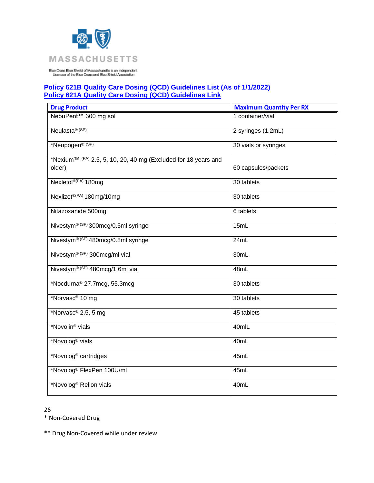

## **Policy 621B Quality Care Dosing (QCD) Guidelines List (As of 1/1/2022) [Policy 621A Quality Care Dosing \(QCD\) Guidelines Link](https://www.bluecrossma.org/medical-policies/sites/g/files/csphws2091/files/acquiadam-assets/621A%20Quality%20Care%20Dosing%20Guidelines%20prn.pdf)**

| <b>Drug Product</b>                                                                  | <b>Maximum Quantity Per RX</b> |
|--------------------------------------------------------------------------------------|--------------------------------|
| NebuPent™ 300 mg sol                                                                 | 1 container/vial               |
| Neulasta <sup>® (SP)</sup>                                                           | 2 syringes (1.2mL)             |
| *Neupogen <sup>® (SP)</sup>                                                          | 30 vials or syringes           |
| *Nexium <sup>™ (PA)</sup> 2.5, 5, 10, 20, 40 mg (Excluded for 18 years and<br>older) | 60 capsules/packets            |
| Nexletol <sup>®(PA)</sup> 180mg                                                      | 30 tablets                     |
| Nexlizet®(PA) 180mg/10mg                                                             | 30 tablets                     |
| Nitazoxanide 500mg                                                                   | 6 tablets                      |
| Nivestym® (SP) 300mcg/0.5ml syringe                                                  | 15mL                           |
| Nivestym® (SP) 480mcg/0.8ml syringe                                                  | 24mL                           |
| Nivestym® (SP) 300mcg/ml vial                                                        | 30mL                           |
| Nivestym® (SP) 480mcg/1.6ml vial                                                     | 48mL                           |
| *Nocdurna <sup>®</sup> 27.7mcg, 55.3mcg                                              | 30 tablets                     |
| *Norvasc <sup>®</sup> 10 mg                                                          | 30 tablets                     |
| *Norvasc® 2.5, 5 mg                                                                  | 45 tablets                     |
| *Novolin <sup>®</sup> vials                                                          | 40mlL                          |
| *Novolog <sup>®</sup> vials                                                          | 40mL                           |
| *Novolog <sup>®</sup> cartridges                                                     | 45mL                           |
| *Novolog® FlexPen 100U/ml                                                            | 45mL                           |
| *Novolog <sup>®</sup> Relion vials                                                   | 40mL                           |

26

\* Non-Covered Drug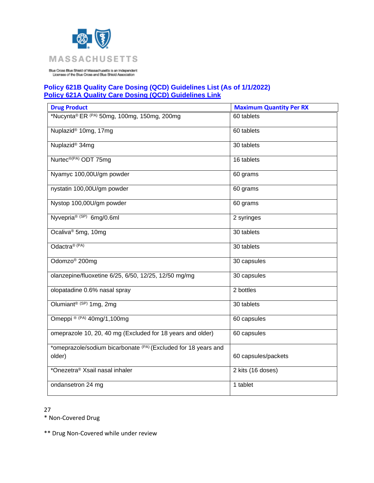

## **Policy 621B Quality Care Dosing (QCD) Guidelines List (As of 1/1/2022) [Policy 621A Quality Care Dosing \(QCD\) Guidelines Link](https://www.bluecrossma.org/medical-policies/sites/g/files/csphws2091/files/acquiadam-assets/621A%20Quality%20Care%20Dosing%20Guidelines%20prn.pdf)**

| <b>Drug Product</b>                                                      | <b>Maximum Quantity Per RX</b> |
|--------------------------------------------------------------------------|--------------------------------|
| *Nucynta® ER (PA) 50mg, 100mg, 150mg, 200mg                              | 60 tablets                     |
| Nuplazid <sup>®</sup> 10mg, 17mg                                         | 60 tablets                     |
| Nuplazid <sup>®</sup> 34mg                                               | 30 tablets                     |
| Nurtec <sup>®(PA)</sup> ODT 75mg                                         | 16 tablets                     |
| Nyamyc 100,00U/gm powder                                                 | 60 grams                       |
| nystatin 100,00U/gm powder                                               | 60 grams                       |
| Nystop 100,00U/gm powder                                                 | 60 grams                       |
| Nyvepria® (SP) 6mg/0.6ml                                                 | 2 syringes                     |
| Ocaliva <sup>®</sup> 5mg, 10mg                                           | 30 tablets                     |
| Odactra® (PA)                                                            | 30 tablets                     |
| Odomzo <sup>®</sup> 200mg                                                | 30 capsules                    |
| olanzepine/fluoxetine 6/25, 6/50, 12/25, 12/50 mg/mg                     | 30 capsules                    |
| olopatadine 0.6% nasal spray                                             | 2 bottles                      |
| Olumiant <sup>® (SP)</sup> 1mg, 2mg                                      | 30 tablets                     |
| Omeppi ® (PA) 40mg/1,100mg                                               | 60 capsules                    |
| omeprazole 10, 20, 40 mg (Excluded for 18 years and older)               | 60 capsules                    |
| *omeprazole/sodium bicarbonate (PA) (Excluded for 18 years and<br>older) | 60 capsules/packets            |
| *Onezetra <sup>®</sup> Xsail nasal inhaler                               | 2 kits (16 doses)              |
| ondansetron 24 mg                                                        | 1 tablet                       |

27

\* Non-Covered Drug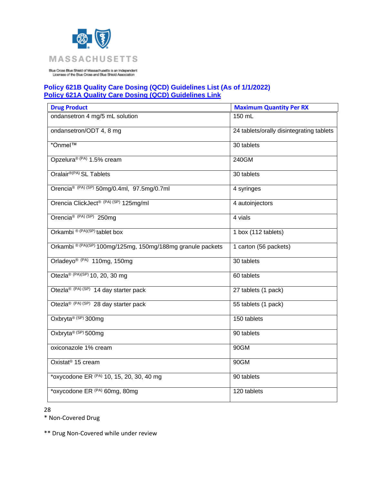

# **Policy 621B Quality Care Dosing (QCD) Guidelines List (As of 1/1/2022) [Policy 621A Quality Care Dosing \(QCD\) Guidelines Link](https://www.bluecrossma.org/medical-policies/sites/g/files/csphws2091/files/acquiadam-assets/621A%20Quality%20Care%20Dosing%20Guidelines%20prn.pdf)**

| <b>Drug Product</b>                                         | <b>Maximum Quantity Per RX</b>           |
|-------------------------------------------------------------|------------------------------------------|
| ondansetron 4 mg/5 mL solution                              | 150 mL                                   |
| ondansetron/ODT 4, 8 mg                                     | 24 tablets/orally disintegrating tablets |
| *Onmel™                                                     | 30 tablets                               |
| Opzelura® (PA) 1.5% cream                                   | 240GM                                    |
| Oralair <sup>®(PA)</sup> SL Tablets                         | 30 tablets                               |
| Orencia <sup>® (PA) (SP)</sup> 50mg/0.4ml, 97.5mg/0.7ml     | 4 syringes                               |
| Orencia ClickJect <sup>® (PA) (SP)</sup> 125mg/ml           | 4 autoinjectors                          |
| Orencia <sup>® (PA) (SP)</sup> 250mg                        | 4 vials                                  |
| Orkambi <sup>® (PA)(SP)</sup> tablet box                    | 1 box (112 tablets)                      |
| Orkambi ® (PA)(SP) 100mg/125mg, 150mg/188mg granule packets | 1 carton (56 packets)                    |
| Orladeyo® (PA) 110mg, 150mg                                 | 30 tablets                               |
| Otezla® (PA)(SP) 10, 20, 30 mg                              | 60 tablets                               |
| Otezla® (PA) (SP) 14 day starter pack                       | 27 tablets (1 pack)                      |
| Otezla <sup>® (PA) (SP)</sup> 28 day starter pack           | 55 tablets (1 pack)                      |
| Oxbryta® (SP) 300mg                                         | 150 tablets                              |
| Oxbryta® (SP) 500mg                                         | 90 tablets                               |
| oxiconazole 1% cream                                        | 90GM                                     |
| Oxistat <sup>®</sup> 15 cream                               | 90GM                                     |
| *oxycodone ER (PA) 10, 15, 20, 30, 40 mg                    | 90 tablets                               |
| *oxycodone ER (PA) 60mg, 80mg                               | 120 tablets                              |

28

\* Non-Covered Drug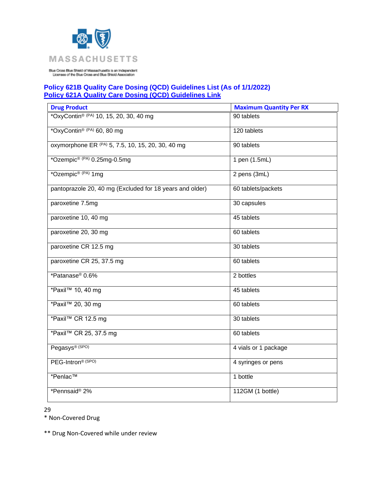

## **Policy 621B Quality Care Dosing (QCD) Guidelines List (As of 1/1/2022) [Policy 621A Quality Care Dosing \(QCD\) Guidelines Link](https://www.bluecrossma.org/medical-policies/sites/g/files/csphws2091/files/acquiadam-assets/621A%20Quality%20Care%20Dosing%20Guidelines%20prn.pdf)**

| <b>Drug Product</b>                                      | <b>Maximum Quantity Per RX</b> |
|----------------------------------------------------------|--------------------------------|
| *OxyContin® (PA) 10, 15, 20, 30, 40 mg                   | 90 tablets                     |
| *OxyContin® (PA) 60, 80 mg                               | 120 tablets                    |
| oxymorphone ER (PA) 5, 7.5, 10, 15, 20, 30, 40 mg        | 90 tablets                     |
| *Ozempic <sup>® (PA)</sup> 0.25mg-0.5mg                  | 1 pen (1.5mL)                  |
| *Ozempic <sup>® (PA)</sup> 1mg                           | 2 pens (3mL)                   |
| pantoprazole 20, 40 mg (Excluded for 18 years and older) | 60 tablets/packets             |
| paroxetine 7.5mg                                         | 30 capsules                    |
| paroxetine 10, 40 mg                                     | 45 tablets                     |
| paroxetine 20, 30 mg                                     | 60 tablets                     |
| paroxetine CR 12.5 mg                                    | 30 tablets                     |
| paroxetine CR 25, 37.5 mg                                | 60 tablets                     |
| *Patanase <sup>®</sup> 0.6%                              | 2 bottles                      |
| *Paxil™ 10, 40 mg                                        | 45 tablets                     |
| *Paxil™ 20, 30 mg                                        | 60 tablets                     |
| *Paxil™ CR 12.5 mg                                       | 30 tablets                     |
| *Paxil™ CR 25, 37.5 mg                                   | 60 tablets                     |
| Pegasys® (SPO)                                           | 4 vials or 1 package           |
| PEG-Intron® (SPO)                                        | 4 syringes or pens             |
| *Penlac™                                                 | 1 bottle                       |
| *Pennsaid® 2%                                            | 112GM (1 bottle)               |

29

\* Non-Covered Drug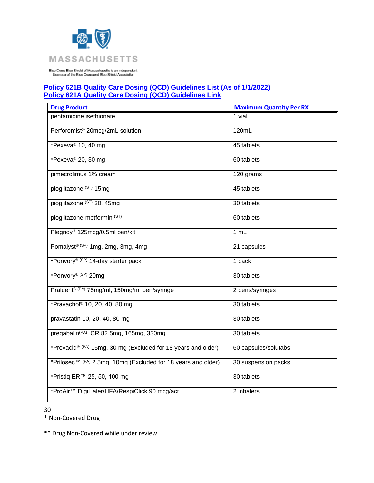

## **Policy 621B Quality Care Dosing (QCD) Guidelines List (As of 1/1/2022) [Policy 621A Quality Care Dosing \(QCD\) Guidelines Link](https://www.bluecrossma.org/medical-policies/sites/g/files/csphws2091/files/acquiadam-assets/621A%20Quality%20Care%20Dosing%20Guidelines%20prn.pdf)**

| <b>Drug Product</b>                                                        | <b>Maximum Quantity Per RX</b> |
|----------------------------------------------------------------------------|--------------------------------|
| pentamidine isethionate                                                    | 1 vial                         |
| Perforomist <sup>®</sup> 20mcg/2mL solution                                | 120mL                          |
| *Pexeva <sup>®</sup> 10, 40 mg                                             | 45 tablets                     |
| *Pexeva® 20, 30 mg                                                         | 60 tablets                     |
| pimecrolimus 1% cream                                                      | 120 grams                      |
| pioglitazone (ST) 15mg                                                     | 45 tablets                     |
| pioglitazone (ST) 30, 45mg                                                 | 30 tablets                     |
| pioglitazone-metformin <sup>(ST)</sup>                                     | 60 tablets                     |
| Plegridy <sup>®</sup> 125mcg/0.5ml pen/kit                                 | 1 mL                           |
| Pomalyst® (SP) 1mg, 2mg, 3mg, 4mg                                          | 21 capsules                    |
| *Ponvory® (SP) 14-day starter pack                                         | 1 pack                         |
| *Ponvory® (SP) 20mg                                                        | 30 tablets                     |
| Praluent <sup>® (PA)</sup> 75mg/ml, 150mg/ml pen/syringe                   | 2 pens/syringes                |
| *Pravachol <sup>®</sup> 10, 20, 40, 80 mg                                  | 30 tablets                     |
| pravastatin 10, 20, 40, 80 mg                                              | 30 tablets                     |
| pregabalin <sup>(PA)</sup> CR 82.5mg, 165mg, 330mg                         | 30 tablets                     |
| *Prevacid® (PA) 15mg, 30 mg (Excluded for 18 years and older)              | 60 capsules/solutabs           |
| *Prilosec <sup>TM (PA)</sup> 2.5mg, 10mg (Excluded for 18 years and older) | 30 suspension packs            |
| *Pristig ER™ 25, 50, 100 mg                                                | 30 tablets                     |
| *ProAir™ DigiHaler/HFA/RespiClick 90 mcg/act                               | 2 inhalers                     |

30

\* Non-Covered Drug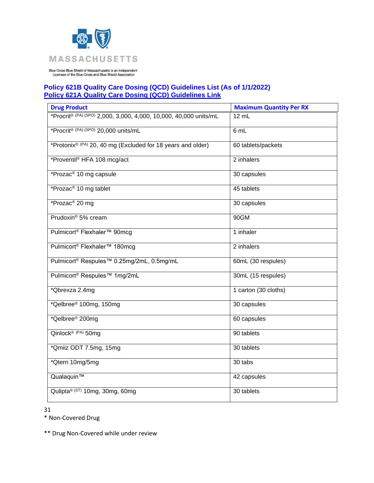

## **Policy 621B Quality Care Dosing (QCD) Guidelines List (As of 1/1/2022) [Policy 621A Quality Care Dosing \(QCD\) Guidelines Link](https://www.bluecrossma.org/medical-policies/sites/g/files/csphws2091/files/acquiadam-assets/621A%20Quality%20Care%20Dosing%20Guidelines%20prn.pdf)**

| <b>Drug Product</b>                                                     | <b>Maximum Quantity Per RX</b> |
|-------------------------------------------------------------------------|--------------------------------|
| *Procrit® (PA) (SPO) 2,000, 3,000, 4,000, 10,000, 40,000 units/mL       | $12 \text{ mL}$                |
| *Procrit® (PA) (SPO) 20,000 units/mL                                    | 6 mL                           |
| *Protonix <sup>® (PA)</sup> 20, 40 mg (Excluded for 18 years and older) | 60 tablets/packets             |
| *Proventil <sup>®</sup> HFA 108 mcg/act                                 | 2 inhalers                     |
| *Prozac <sup>®</sup> 10 mg capsule                                      | 30 capsules                    |
| *Prozac <sup>®</sup> 10 mg tablet                                       | 45 tablets                     |
| *Prozac <sup>®</sup> 20 mg                                              | 30 capsules                    |
| Prudoxin <sup>®</sup> 5% cream                                          | 90GM                           |
| Pulmicort <sup>®</sup> Flexhaler <sup>™</sup> 90mcg                     | 1 inhaler                      |
| Pulmicort <sup>®</sup> Flexhaler <sup>™</sup> 180mcg                    | 2 inhalers                     |
| Pulmicort <sup>®</sup> Respules <sup>™</sup> 0.25mg/2mL, 0.5mg/mL       | 60mL (30 respules)             |
| Pulmicort <sup>®</sup> Respules <sup>™</sup> 1mg/2mL                    | 30mL (15 respules)             |
| *Qbrexza 2.4mg                                                          | 1 carton (30 cloths)           |
| *Qelbree® 100mg, 150mg                                                  | 30 capsules                    |
| *Qelbree <sup>®</sup> 200mg                                             | 60 capsules                    |
| Qinlock® (PA) 50mg                                                      | 90 tablets                     |
| *Qmiiz ODT 7.5mg, 15mg                                                  | 30 tablets                     |
| *Qtern 10mg/5mg                                                         | 30 tabs                        |
| Qualaquin™                                                              | 42 capsules                    |
| Qulipta® (ST) 10mg, 30mg, 60mg                                          | 30 tablets                     |

31

\* Non-Covered Drug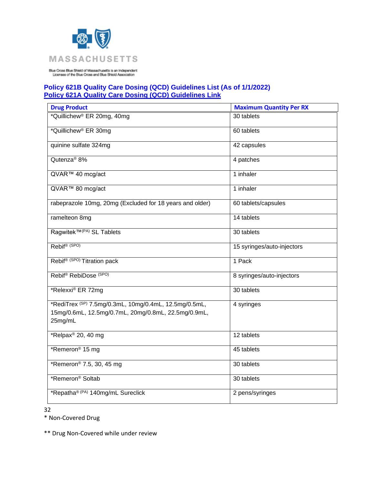

## **Policy 621B Quality Care Dosing (QCD) Guidelines List (As of 1/1/2022) [Policy 621A Quality Care Dosing \(QCD\) Guidelines Link](https://www.bluecrossma.org/medical-policies/sites/g/files/csphws2091/files/acquiadam-assets/621A%20Quality%20Care%20Dosing%20Guidelines%20prn.pdf)**

| <b>Drug Product</b>                                                                                                                | <b>Maximum Quantity Per RX</b> |
|------------------------------------------------------------------------------------------------------------------------------------|--------------------------------|
| *Quillichew® ER 20mg, 40mg                                                                                                         | 30 tablets                     |
| *Quillichew <sup>®</sup> ER 30mg                                                                                                   | 60 tablets                     |
| quinine sulfate 324mg                                                                                                              | 42 capsules                    |
| Qutenza <sup>®</sup> 8%                                                                                                            | 4 patches                      |
| QVAR™ 40 mcg/act                                                                                                                   | 1 inhaler                      |
| QVAR™ 80 mcg/act                                                                                                                   | 1 inhaler                      |
| rabeprazole 10mg, 20mg (Excluded for 18 years and older)                                                                           | 60 tablets/capsules            |
| ramelteon 8mg                                                                                                                      | 14 tablets                     |
| Ragwitek™ <sup>(PA)</sup> SL Tablets                                                                                               | 30 tablets                     |
| Rebif <sup>® (SPO)</sup>                                                                                                           | 15 syringes/auto-injectors     |
| Rebif <sup>® (SPO)</sup> Titration pack                                                                                            | 1 Pack                         |
| Rebif <sup>®</sup> RebiDose <sup>(SPO)</sup>                                                                                       | 8 syringes/auto-injectors      |
| *Relexxi® ER 72mg                                                                                                                  | 30 tablets                     |
| *RediTrex <sup>(SP)</sup> 7.5mg/0.3mL, 10mg/0.4mL, 12.5mg/0.5mL,<br>15mg/0.6mL, 12.5mg/0.7mL, 20mg/0.8mL, 22.5mg/0.9mL,<br>25mg/mL | 4 syringes                     |
| *Relpax <sup>®</sup> 20, 40 mg                                                                                                     | 12 tablets                     |
| *Remeron <sup>®</sup> 15 mg                                                                                                        | 45 tablets                     |
| *Remeron® 7.5, 30, 45 mg                                                                                                           | 30 tablets                     |
| *Remeron <sup>®</sup> Soltab                                                                                                       | 30 tablets                     |
| *Repatha® (PA) 140mg/mL Sureclick                                                                                                  | 2 pens/syringes                |

32

\* Non-Covered Drug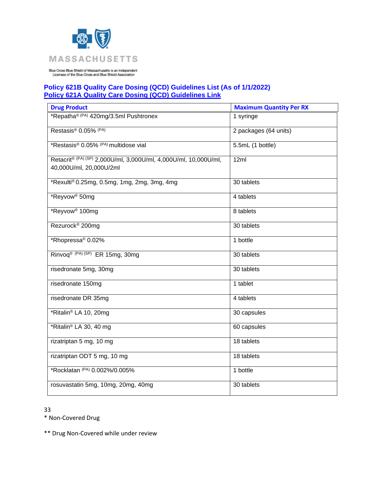

## **Policy 621B Quality Care Dosing (QCD) Guidelines List (As of 1/1/2022) [Policy 621A Quality Care Dosing \(QCD\) Guidelines Link](https://www.bluecrossma.org/medical-policies/sites/g/files/csphws2091/files/acquiadam-assets/621A%20Quality%20Care%20Dosing%20Guidelines%20prn.pdf)**

| <b>Drug Product</b>                                                                         | <b>Maximum Quantity Per RX</b> |
|---------------------------------------------------------------------------------------------|--------------------------------|
| *Repatha® (PA) 420mg/3.5ml Pushtronex                                                       | 1 syringe                      |
| Restasis® 0.05% (PA)                                                                        | 2 packages (64 units)          |
| *Restasis® 0.05% (PA) multidose vial                                                        | 5.5mL (1 bottle)               |
| Retacrit® (PA) (SP) 2,000U/ml, 3,000U/ml, 4,000U/ml, 10,000U/ml,<br>40,000U/ml, 20,000U/2ml | 12ml                           |
| *Rexulti® 0.25mg, 0.5mg, 1mg, 2mg, 3mg, 4mg                                                 | 30 tablets                     |
| *Reyvow <sup>®</sup> 50mg                                                                   | 4 tablets                      |
| *Reyvow <sup>®</sup> 100mg                                                                  | 8 tablets                      |
| Rezurock <sup>®</sup> 200mg                                                                 | 30 tablets                     |
| *Rhopressa <sup>®</sup> 0.02%                                                               | 1 bottle                       |
| Rinvoq® (PA) (SP) ER 15mg, 30mg                                                             | 30 tablets                     |
| risedronate 5mg, 30mg                                                                       | 30 tablets                     |
| risedronate 150mg                                                                           | 1 tablet                       |
| risedronate DR 35mg                                                                         | 4 tablets                      |
| *Ritalin® LA 10, 20mg                                                                       | 30 capsules                    |
| *Ritalin <sup>®</sup> LA 30, 40 mg                                                          | 60 capsules                    |
| rizatriptan 5 mg, 10 mg                                                                     | 18 tablets                     |
| rizatriptan ODT 5 mg, 10 mg                                                                 | 18 tablets                     |
| *Rocklatan (PA) 0.002%/0.005%                                                               | 1 bottle                       |
| rosuvastatin 5mg, 10mg, 20mg, 40mg                                                          | 30 tablets                     |

33

\* Non-Covered Drug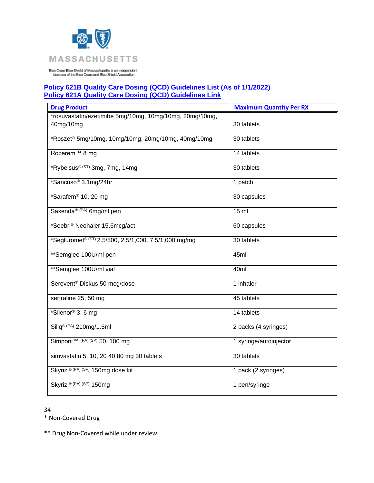

## **Policy 621B Quality Care Dosing (QCD) Guidelines List (As of 1/1/2022) [Policy 621A Quality Care Dosing \(QCD\) Guidelines Link](https://www.bluecrossma.org/medical-policies/sites/g/files/csphws2091/files/acquiadam-assets/621A%20Quality%20Care%20Dosing%20Guidelines%20prn.pdf)**

| <b>Drug Product</b>                                                  | <b>Maximum Quantity Per RX</b> |
|----------------------------------------------------------------------|--------------------------------|
| *rosuvastatin/ezetimibe 5mg/10mg, 10mg/10mg, 20mg/10mg,<br>40mg/10mg | 30 tablets                     |
| *Roszet® 5mg/10mg, 10mg/10mg, 20mg/10mg, 40mg/10mg                   | 30 tablets                     |
| Rozerem <sup>™</sup> 8 mg                                            | 14 tablets                     |
| *Rybelsus® (ST) 3mg, 7mg, 14mg                                       | 30 tablets                     |
| *Sancuso <sup>®</sup> 3.1mg/24hr                                     | 1 patch                        |
| *Sarafem® 10, 20 mg                                                  | 30 capsules                    |
| Saxenda® (PA) 6mg/ml pen                                             | $15$ ml                        |
| *Seebri® Neohaler 15.6mcg/act                                        | 60 capsules                    |
| *Segluromet <sup>® (ST)</sup> 2.5/500, 2.5/1,000, 7.5/1,000 mg/mg    | 30 tablets                     |
| **Semglee 100U/ml pen                                                | 45ml                           |
| **Semglee 100U/ml vial                                               | 40ml                           |
| Serevent <sup>®</sup> Diskus 50 mcg/dose                             | 1 inhaler                      |
| sertraline 25, 50 mg                                                 | 45 tablets                     |
| *Silenor <sup>®</sup> 3, 6 mg                                        | 14 tablets                     |
| $Siliq^{\circledR (PA)} 210$ mg/1.5ml                                | 2 packs (4 syringes)           |
| Simponi <sup>™ (PA) (SP)</sup> 50, 100 mg                            | 1 syringe/autoinjector         |
| simvastatin 5, 10, 20 40 80 mg 30 tablets                            | 30 tablets                     |
| Skyrizi® (PA) (SP) 150mg dose kit                                    | 1 pack (2 syringes)            |
| Skyrizi® (PA) (SP) 150mg                                             | 1 pen/syringe                  |

34

\* Non-Covered Drug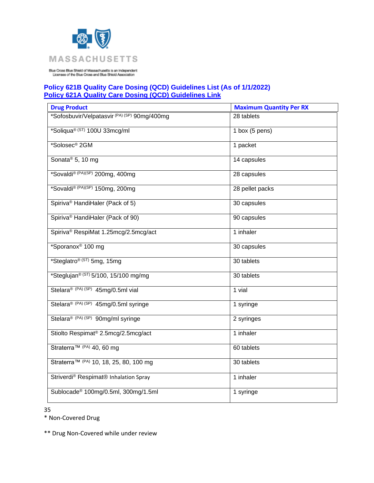

# **Policy 621B Quality Care Dosing (QCD) Guidelines List (As of 1/1/2022) [Policy 621A Quality Care Dosing \(QCD\) Guidelines Link](https://www.bluecrossma.org/medical-policies/sites/g/files/csphws2091/files/acquiadam-assets/621A%20Quality%20Care%20Dosing%20Guidelines%20prn.pdf)**

| <b>Drug Product</b>                                | <b>Maximum Quantity Per RX</b> |
|----------------------------------------------------|--------------------------------|
| *Sofosbuvir/Velpatasvir (PA) (SP) 90mg/400mg       | 28 tablets                     |
| *Soliqua® (ST) 100U 33mcg/ml                       | 1 box $(5$ pens)               |
| *Solosec® 2GM                                      | 1 packet                       |
| Sonata <sup>®</sup> 5, 10 mg                       | 14 capsules                    |
| *Sovaldi® (PA)(SP) 200mg, 400mg                    | 28 capsules                    |
| *Sovaldi® (PA)(SP) 150mg, 200mg                    | 28 pellet packs                |
| Spiriva <sup>®</sup> HandiHaler (Pack of 5)        | 30 capsules                    |
| Spiriva® HandiHaler (Pack of 90)                   | 90 capsules                    |
| Spiriva <sup>®</sup> RespiMat 1.25mcg/2.5mcg/act   | 1 inhaler                      |
| *Sporanox <sup>®</sup> 100 mg                      | 30 capsules                    |
| *Steglatro <sup>® (ST)</sup> 5mg, 15mg             | 30 tablets                     |
| *Steglujan <sup>® (ST)</sup> 5/100, 15/100 mg/mg   | 30 tablets                     |
| Stelara® (PA) (SP) 45mg/0.5ml vial                 | 1 vial                         |
| Stelara® (PA) (SP) 45mg/0.5ml syringe              | 1 syringe                      |
| Stelara® (PA) (SP) 90mg/ml syringe                 | 2 syringes                     |
| Stiolto Respimat <sup>®</sup> 2.5mcg/2.5mcg/act    | 1 inhaler                      |
| Straterra™ (PA) 40, 60 mg                          | 60 tablets                     |
| Straterra <sup>™ (PA)</sup> 10, 18, 25, 80, 100 mg | 30 tablets                     |
| Striverdi® Respimat® Inhalation Spray              | 1 inhaler                      |
| Sublocade <sup>®</sup> 100mg/0.5ml, 300mg/1.5ml    | 1 syringe                      |

35

\* Non-Covered Drug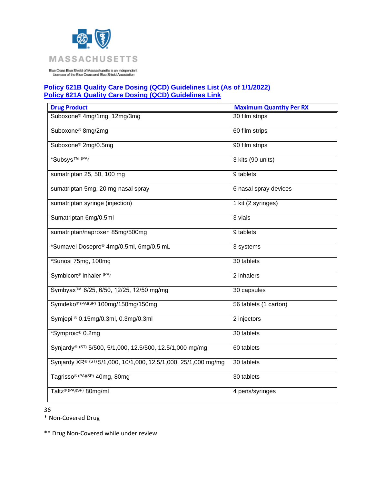

## **Policy 621B Quality Care Dosing (QCD) Guidelines List (As of 1/1/2022) [Policy 621A Quality Care Dosing \(QCD\) Guidelines Link](https://www.bluecrossma.org/medical-policies/sites/g/files/csphws2091/files/acquiadam-assets/621A%20Quality%20Care%20Dosing%20Guidelines%20prn.pdf)**

| <b>Drug Product</b>                                             | <b>Maximum Quantity Per RX</b> |
|-----------------------------------------------------------------|--------------------------------|
| Suboxone <sup>®</sup> 4mg/1mg, 12mg/3mg                         | 30 film strips                 |
| Suboxone <sup>®</sup> 8mg/2mg                                   | 60 film strips                 |
| Suboxone <sup>®</sup> 2mg/0.5mg                                 | 90 film strips                 |
| *Subsys <sup>TM (PA)</sup>                                      | 3 kits (90 units)              |
| sumatriptan 25, 50, 100 mg                                      | 9 tablets                      |
| sumatriptan 5mg, 20 mg nasal spray                              | 6 nasal spray devices          |
| sumatriptan syringe (injection)                                 | 1 kit (2 syringes)             |
| Sumatriptan 6mg/0.5ml                                           | 3 vials                        |
| sumatriptan/naproxen 85mg/500mg                                 | 9 tablets                      |
| *Sumavel Dosepro® 4mg/0.5ml, 6mg/0.5 mL                         | 3 systems                      |
| *Sunosi 75mg, 100mg                                             | 30 tablets                     |
| Symbicort <sup>®</sup> Inhaler <sup>(PA)</sup>                  | 2 inhalers                     |
| Symbyax <sup>™</sup> 6/25, 6/50, 12/25, 12/50 mg/mg             | 30 capsules                    |
| Symdeko® (PA)(SP) 100mg/150mg/150mg                             | 56 tablets (1 carton)          |
| Symjepi ® 0.15mg/0.3ml, 0.3mg/0.3ml                             | 2 injectors                    |
| *Symproic <sup>®</sup> 0.2mg                                    | 30 tablets                     |
| Synjardy® (ST) 5/500, 5/1,000, 12.5/500, 12.5/1,000 mg/mg       | 60 tablets                     |
| Synjardy XR® (ST) 5/1,000, 10/1,000, 12.5/1,000, 25/1,000 mg/mg | 30 tablets                     |
| Tagrisso <sup>® (PA)(SP)</sup> 40mg, 80mg                       | 30 tablets                     |
| Taltz® (PA)(SP) 80mg/ml                                         | 4 pens/syringes                |

36

\* Non-Covered Drug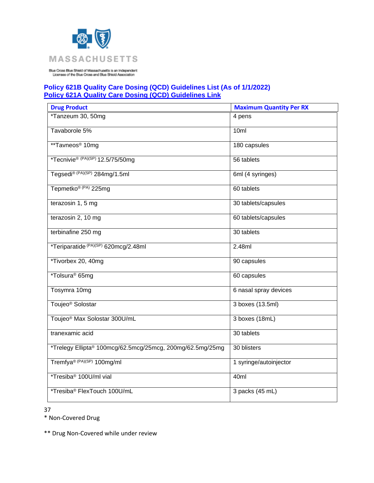

# **Policy 621B Quality Care Dosing (QCD) Guidelines List (As of 1/1/2022) [Policy 621A Quality Care Dosing \(QCD\) Guidelines Link](https://www.bluecrossma.org/medical-policies/sites/g/files/csphws2091/files/acquiadam-assets/621A%20Quality%20Care%20Dosing%20Guidelines%20prn.pdf)**

| <b>Drug Product</b>                                       | <b>Maximum Quantity Per RX</b> |
|-----------------------------------------------------------|--------------------------------|
| *Tanzeum 30, 50mg                                         | 4 pens                         |
| Tavaborole 5%                                             | 10ml                           |
| **Tavneos <sup>®</sup> 10mg                               | 180 capsules                   |
| *Tecnivie <sup>® (PA)(SP)</sup> 12.5/75/50mg              | 56 tablets                     |
| Tegsedi® (PA)(SP) 284mg/1.5ml                             | 6ml (4 syringes)               |
| Tepmetko® (PA) 225mg                                      | 60 tablets                     |
| terazosin 1, 5 mg                                         | 30 tablets/capsules            |
| terazosin 2, 10 mg                                        | 60 tablets/capsules            |
| terbinafine 250 mg                                        | 30 tablets                     |
| *Teriparatide (PA)(SP) 620mcg/2.48ml                      | 2.48ml                         |
| *Tivorbex 20, 40mg                                        | 90 capsules                    |
| *Tolsura <sup>®</sup> 65mg                                | 60 capsules                    |
| Tosymra 10mg                                              | 6 nasal spray devices          |
| Toujeo <sup>®</sup> Solostar                              | 3 boxes (13.5ml)               |
| Toujeo <sup>®</sup> Max Solostar 300U/mL                  | 3 boxes (18mL)                 |
| tranexamic acid                                           | 30 tablets                     |
| *Trelegy Ellipta® 100mcg/62.5mcg/25mcg, 200mg/62.5mg/25mg | 30 blisters                    |
| Tremfya® (PA)(SP) 100mg/ml                                | 1 syringe/autoinjector         |
| *Tresiba <sup>®</sup> 100U/ml vial                        | 40ml                           |
| *Tresiba® FlexTouch 100U/mL                               | 3 packs (45 mL)                |

37

\* Non-Covered Drug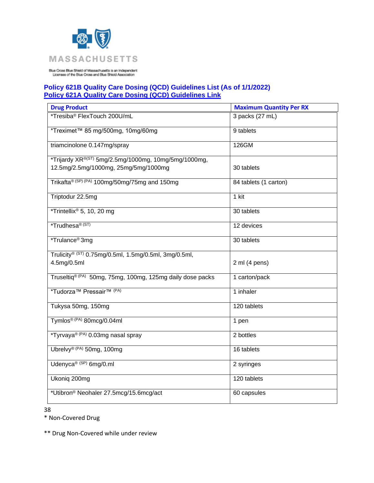

## **Policy 621B Quality Care Dosing (QCD) Guidelines List (As of 1/1/2022) [Policy 621A Quality Care Dosing \(QCD\) Guidelines Link](https://www.bluecrossma.org/medical-policies/sites/g/files/csphws2091/files/acquiadam-assets/621A%20Quality%20Care%20Dosing%20Guidelines%20prn.pdf)**

| <b>Drug Product</b>                                              | <b>Maximum Quantity Per RX</b> |
|------------------------------------------------------------------|--------------------------------|
| *Tresiba <sup>®</sup> FlexTouch 200U/mL                          | 3 packs (27 mL)                |
| *Treximet™ 85 mg/500mg, 10mg/60mg                                | 9 tablets                      |
| triamcinolone 0.147mg/spray                                      | 126GM                          |
| *Trijardy XR <sup>®(ST)</sup> 5mg/2.5mg/1000mg, 10mg/5mg/1000mg, |                                |
| 12.5mg/2.5mg/1000mg, 25mg/5mg/1000mg                             | 30 tablets                     |
| Trikafta® (SP) (PA) 100mg/50mg/75mg and 150mg                    | 84 tablets (1 carton)          |
| Triptodur 22.5mg                                                 | 1 kit                          |
| *Trintellix® 5, 10, 20 mg                                        | 30 tablets                     |
| *Trudhesa <sup>® (ST)</sup>                                      | 12 devices                     |
| *Trulance <sup>®</sup> 3mg                                       | 30 tablets                     |
| Trulicity® (ST) 0.75mg/0.5ml, 1.5mg/0.5ml, 3mg/0.5ml,            |                                |
| 4.5mg/0.5ml                                                      | 2 ml (4 pens)                  |
| Truseltiq® (PA) 50mg, 75mg, 100mg, 125mg daily dose packs        | 1 carton/pack                  |
| *Tudorza <sup>™</sup> Pressair <sup>™ (PA)</sup>                 | 1 inhaler                      |
| Tukysa 50mg, 150mg                                               | 120 tablets                    |
| Tymlos® (PA) 80mcg/0.04ml                                        | 1 pen                          |
| *Tyrvaya® (PA) 0.03mg nasal spray                                | 2 bottles                      |
| Ubrelvy® (PA) 50mg, 100mg                                        | 16 tablets                     |
| Udenyca® (SP) 6mg/0.ml                                           | 2 syringes                     |
| Ukoniq 200mg                                                     | 120 tablets                    |
| *Utibron® Neohaler 27.5mcg/15.6mcg/act                           | 60 capsules                    |

38

\* Non-Covered Drug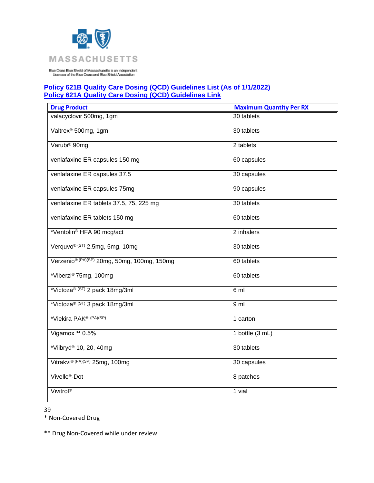

# **Policy 621B Quality Care Dosing (QCD) Guidelines List (As of 1/1/2022) [Policy 621A Quality Care Dosing \(QCD\) Guidelines Link](https://www.bluecrossma.org/medical-policies/sites/g/files/csphws2091/files/acquiadam-assets/621A%20Quality%20Care%20Dosing%20Guidelines%20prn.pdf)**

| <b>Drug Product</b>                                     | <b>Maximum Quantity Per RX</b> |
|---------------------------------------------------------|--------------------------------|
| valacyclovir 500mg, 1gm                                 | 30 tablets                     |
| Valtrex <sup>®</sup> 500mg, 1gm                         | 30 tablets                     |
| Varubi <sup>®</sup> 90mg                                | 2 tablets                      |
| venlafaxine ER capsules 150 mg                          | 60 capsules                    |
| venlafaxine ER capsules 37.5                            | 30 capsules                    |
| venlafaxine ER capsules 75mg                            | 90 capsules                    |
| venlafaxine ER tablets 37.5, 75, 225 mg                 | 30 tablets                     |
| venlafaxine ER tablets 150 mg                           | 60 tablets                     |
| *Ventolin <sup>®</sup> HFA 90 mcg/act                   | 2 inhalers                     |
| Verquvo <sup>® (ST)</sup> 2.5mg, 5mg, 10mg              | 30 tablets                     |
| Verzenio <sup>® (PA)(SP)</sup> 20mg, 50mg, 100mg, 150mg | 60 tablets                     |
| *Viberzi® 75mg, 100mg                                   | 60 tablets                     |
| *Victoza® (ST) 2 pack 18mg/3ml                          | 6 ml                           |
| *Victoza® (ST) 3 pack 18mg/3ml                          | 9 ml                           |
| *Viekira PAK <sup>® (PA)(SP)</sup>                      | 1 carton                       |
| Vigamox <sup>™</sup> 0.5%                               | 1 bottle (3 mL)                |
| *Viibryd® 10, 20, 40mg                                  | 30 tablets                     |
| Vitrakvi® (PA)(SP) 25mg, 100mg                          | 30 capsules                    |
| Vivelle <sup>®</sup> -Dot                               | 8 patches                      |
| Vivitrol®                                               | 1 vial                         |

39

\* Non-Covered Drug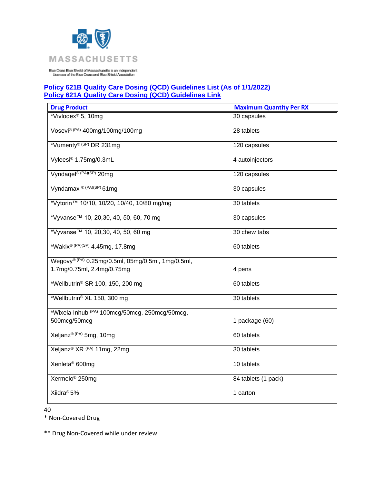

## **Policy 621B Quality Care Dosing (QCD) Guidelines List (As of 1/1/2022) [Policy 621A Quality Care Dosing \(QCD\) Guidelines Link](https://www.bluecrossma.org/medical-policies/sites/g/files/csphws2091/files/acquiadam-assets/621A%20Quality%20Care%20Dosing%20Guidelines%20prn.pdf)**

| <b>Drug Product</b>                                | <b>Maximum Quantity Per RX</b> |
|----------------------------------------------------|--------------------------------|
| *Vivlodex <sup>®</sup> 5, 10mg                     | 30 capsules                    |
| Vosevi® (PA) 400mg/100mg/100mg                     | 28 tablets                     |
| *Vumerity®(SP) DR 231mg                            | 120 capsules                   |
| Vyleesi® 1.75mg/0.3mL                              | 4 autoinjectors                |
| Vyndagel® (PA)(SP) 20mg                            | 120 capsules                   |
| Vyndamax ® (PA)(SP) 61mg                           | 30 capsules                    |
| *Vytorin™ 10/10, 10/20, 10/40, 10/80 mg/mg         | 30 tablets                     |
| *Vyvanse <sup>™</sup> 10, 20,30, 40, 50, 60, 70 mg | 30 capsules                    |
| *Vyvanse <sup>™</sup> 10, 20,30, 40, 50, 60 mg     | 30 chew tabs                   |
| *Wakix® (PA)(SP) 4.45mg, 17.8mg                    | 60 tablets                     |
| Wegovy® (PA) 0.25mg/0.5ml, 05mg/0.5ml, 1mg/0.5ml,  |                                |
| 1.7mg/0.75ml, 2.4mg/0.75mg                         | 4 pens                         |
| *Wellbutrin® SR 100, 150, 200 mg                   | 60 tablets                     |
| *Wellbutrin® XL 150, 300 mg                        | 30 tablets                     |
| *Wixela Inhub (PA) 100mcg/50mcg, 250mcg/50mcg,     |                                |
| 500mcg/50mcg                                       | 1 package (60)                 |
| Xeljanz® (PA) 5mg, 10mg                            | 60 tablets                     |
| Xeljanz® XR (PA) 11mg, 22mg                        | 30 tablets                     |
| Xenleta <sup>®</sup> 600mg                         | 10 tablets                     |
| Xermelo <sup>®</sup> 250mg                         | 84 tablets (1 pack)            |
| Xiidra <sup>®</sup> 5%                             | 1 carton                       |

40

\* Non-Covered Drug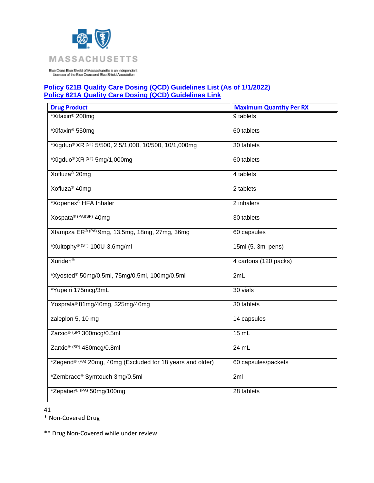

## **Policy 621B Quality Care Dosing (QCD) Guidelines List (As of 1/1/2022) [Policy 621A Quality Care Dosing \(QCD\) Guidelines Link](https://www.bluecrossma.org/medical-policies/sites/g/files/csphws2091/files/acquiadam-assets/621A%20Quality%20Care%20Dosing%20Guidelines%20prn.pdf)**

| <b>Drug Product</b>                                         | <b>Maximum Quantity Per RX</b> |
|-------------------------------------------------------------|--------------------------------|
| *Xifaxin <sup>®</sup> 200mg                                 | 9 tablets                      |
| *Xifaxin <sup>®</sup> 550mg                                 | 60 tablets                     |
| *Xigduo® XR (ST) 5/500, 2.5/1,000, 10/500, 10/1,000mg       | 30 tablets                     |
| *Xigduo <sup>®</sup> XR <sup>(ST)</sup> 5mg/1,000mg         | 60 tablets                     |
| Xofluza <sup>®</sup> 20mg                                   | 4 tablets                      |
| Xofluza <sup>®</sup> 40mg                                   | 2 tablets                      |
| *Xopenex <sup>®</sup> HFA Inhaler                           | 2 inhalers                     |
| Xospata® (PA)(SP) 40mg                                      | 30 tablets                     |
| Xtampza ER® (PA) 9mg, 13.5mg, 18mg, 27mg, 36mg              | 60 capsules                    |
| *Xultophy® (ST) 100U-3.6mg/ml                               | 15ml (5, 3ml pens)             |
| <b>Xuriden<sup>®</sup></b>                                  | 4 cartons (120 packs)          |
| *Xyosted® 50mg/0.5ml, 75mg/0.5ml, 100mg/0.5ml               | 2mL                            |
| *Yupelri 175mcg/3mL                                         | 30 vials                       |
| Yosprala® 81mg/40mg, 325mg/40mg                             | 30 tablets                     |
| zaleplon 5, 10 mg                                           | 14 capsules                    |
| Zarxio <sup>® (SP)</sup> 300mcg/0.5ml                       | 15 mL                          |
| Zarxio <sup>® (SP)</sup> 480mcg/0.8ml                       | $24$ mL                        |
| *Zegerid® (PA) 20mg, 40mg (Excluded for 18 years and older) | 60 capsules/packets            |
| *Zembrace® Symtouch 3mg/0.5ml                               | 2ml                            |
| *Zepatier® (PA) 50mg/100mg                                  | 28 tablets                     |

41

\* Non-Covered Drug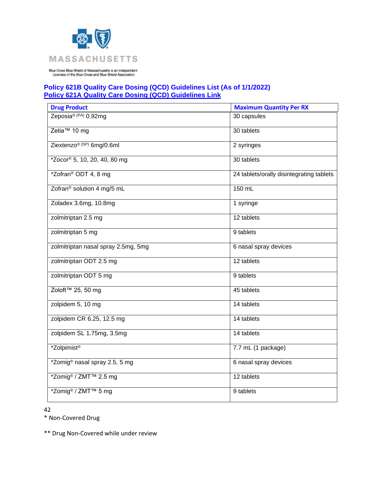

## **Policy 621B Quality Care Dosing (QCD) Guidelines List (As of 1/1/2022) [Policy 621A Quality Care Dosing \(QCD\) Guidelines Link](https://www.bluecrossma.org/medical-policies/sites/g/files/csphws2091/files/acquiadam-assets/621A%20Quality%20Care%20Dosing%20Guidelines%20prn.pdf)**

| <b>Drug Product</b>                           | <b>Maximum Quantity Per RX</b>           |
|-----------------------------------------------|------------------------------------------|
| Zeposia® (PA) 0.92mg                          | 30 capsules                              |
| Zetia™ 10 mg                                  | 30 tablets                               |
| Ziextenzo <sup>® (SP)</sup> 6mg/0.6ml         | 2 syringes                               |
| *Zocor <sup>®</sup> 5, 10, 20, 40, 80 mg      | 30 tablets                               |
| *Zofran® ODT 4, 8 mg                          | 24 tablets/orally disintegrating tablets |
| Zofran® solution 4 mg/5 mL                    | 150 mL                                   |
| Zoladex 3.6mg, 10.8mg                         | 1 syringe                                |
| zolmitriptan 2.5 mg                           | 12 tablets                               |
| zolmitriptan 5 mg                             | 9 tablets                                |
| zolmitriptan nasal spray 2.5mg, 5mg           | 6 nasal spray devices                    |
| zolmitriptan ODT 2.5 mg                       | 12 tablets                               |
| zolmitriptan ODT 5 mg                         | 9 tablets                                |
| Zoloft <sup>™</sup> 25, 50 mg                 | 45 tablets                               |
| zolpidem 5, 10 mg                             | 14 tablets                               |
| zolpidem CR 6.25, 12.5 mg                     | 14 tablets                               |
| zolpidem SL 1.75mg, 3.5mg                     | 14 tablets                               |
| *Zolpimist <sup>®</sup>                       | 7.7 mL (1 package)                       |
| *Zomig® nasal spray 2.5, 5 mg                 | 6 nasal spray devices                    |
| *Zomig <sup>®</sup> / ZMT <sup>™</sup> 2.5 mg | 12 tablets                               |
| *Zomig <sup>®</sup> / ZMT <sup>™</sup> 5 mg   | 9 tablets                                |

42

\* Non-Covered Drug